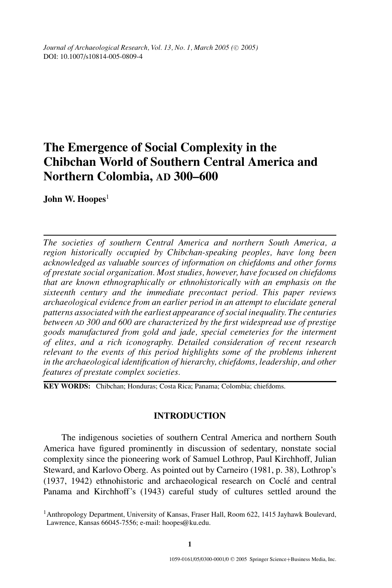*Journal of Archaeological Research, Vol. 13, No. 1, March 2005 (* $\odot$  *2005)* DOI: 10.1007/s10814-005-0809-4

# **The Emergence of Social Complexity in the Chibchan World of Southern Central America and Northern Colombia, AD 300–600**

John W. Hoopes<sup>1</sup>

*The societies of southern Central America and northern South America, a region historically occupied by Chibchan-speaking peoples, have long been acknowledged as valuable sources of information on chiefdoms and other forms of prestate social organization. Most studies, however, have focused on chiefdoms that are known ethnographically or ethnohistorically with an emphasis on the sixteenth century and the immediate precontact period. This paper reviews archaeological evidence from an earlier period in an attempt to elucidate general patterns associated with the earliest appearance of social inequality. The centuries between AD 300 and 600 are characterized by the first widespread use of prestige goods manufactured from gold and jade, special cemeteries for the interment of elites, and a rich iconography. Detailed consideration of recent research relevant to the events of this period highlights some of the problems inherent in the archaeological identification of hierarchy, chiefdoms, leadership, and other features of prestate complex societies.*

**KEY WORDS:** Chibchan; Honduras; Costa Rica; Panama; Colombia; chiefdoms.

# **INTRODUCTION**

The indigenous societies of southern Central America and northern South America have figured prominently in discussion of sedentary, nonstate social complexity since the pioneering work of Samuel Lothrop, Paul Kirchhoff, Julian Steward, and Karlovo Oberg. As pointed out by Carneiro (1981, p. 38), Lothrop's (1937, 1942) ethnohistoric and archaeological research on Cocle and central ´ Panama and Kirchhoff's (1943) careful study of cultures settled around the

<sup>1</sup>Anthropology Department, University of Kansas, Fraser Hall, Room 622, 1415 Jayhawk Boulevard, Lawrence, Kansas 66045-7556; e-mail: hoopes@ku.edu.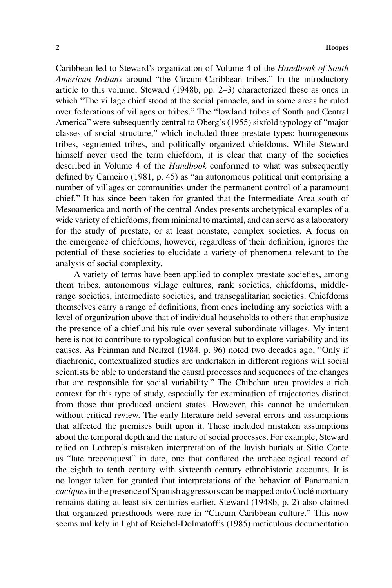Caribbean led to Steward's organization of Volume 4 of the *Handbook of South American Indians* around "the Circum-Caribbean tribes." In the introductory article to this volume, Steward (1948b, pp. 2–3) characterized these as ones in which "The village chief stood at the social pinnacle, and in some areas he ruled over federations of villages or tribes." The "lowland tribes of South and Central America" were subsequently central to Oberg's (1955) sixfold typology of "major classes of social structure," which included three prestate types: homogeneous tribes, segmented tribes, and politically organized chiefdoms. While Steward himself never used the term chiefdom, it is clear that many of the societies described in Volume 4 of the *Handbook* conformed to what was subsequently defined by Carneiro (1981, p. 45) as "an autonomous political unit comprising a number of villages or communities under the permanent control of a paramount chief." It has since been taken for granted that the Intermediate Area south of Mesoamerica and north of the central Andes presents archetypical examples of a wide variety of chiefdoms, from minimal to maximal, and can serve as a laboratory for the study of prestate, or at least nonstate, complex societies. A focus on the emergence of chiefdoms, however, regardless of their definition, ignores the potential of these societies to elucidate a variety of phenomena relevant to the analysis of social complexity.

A variety of terms have been applied to complex prestate societies, among them tribes, autonomous village cultures, rank societies, chiefdoms, middlerange societies, intermediate societies, and transegalitarian societies. Chiefdoms themselves carry a range of definitions, from ones including any societies with a level of organization above that of individual households to others that emphasize the presence of a chief and his rule over several subordinate villages. My intent here is not to contribute to typological confusion but to explore variability and its causes. As Feinman and Neitzel (1984, p. 96) noted two decades ago, "Only if diachronic, contextualized studies are undertaken in different regions will social scientists be able to understand the causal processes and sequences of the changes that are responsible for social variability." The Chibchan area provides a rich context for this type of study, especially for examination of trajectories distinct from those that produced ancient states. However, this cannot be undertaken without critical review. The early literature held several errors and assumptions that affected the premises built upon it. These included mistaken assumptions about the temporal depth and the nature of social processes. For example, Steward relied on Lothrop's mistaken interpretation of the lavish burials at Sitio Conte as "late preconquest" in date, one that conflated the archaeological record of the eighth to tenth century with sixteenth century ethnohistoric accounts. It is no longer taken for granted that interpretations of the behavior of Panamanian *caciques* in the presence of Spanish aggressors can be mapped onto Cocle mortuary remains dating at least six centuries earlier. Steward (1948b, p. 2) also claimed that organized priesthoods were rare in "Circum-Caribbean culture." This now seems unlikely in light of Reichel-Dolmatoff's (1985) meticulous documentation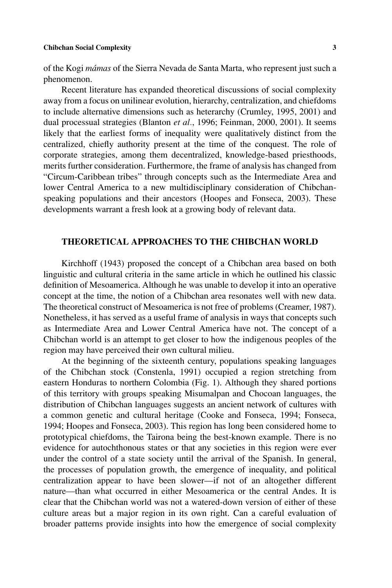of the Kogi *mamas ´* of the Sierra Nevada de Santa Marta, who represent just such a phenomenon.

Recent literature has expanded theoretical discussions of social complexity away from a focus on unilinear evolution, hierarchy, centralization, and chiefdoms to include alternative dimensions such as heterarchy (Crumley, 1995, 2001) and dual processual strategies (Blanton *et al.*, 1996; Feinman, 2000, 2001). It seems likely that the earliest forms of inequality were qualitatively distinct from the centralized, chiefly authority present at the time of the conquest. The role of corporate strategies, among them decentralized, knowledge-based priesthoods, merits further consideration. Furthermore, the frame of analysis has changed from "Circum-Caribbean tribes" through concepts such as the Intermediate Area and lower Central America to a new multidisciplinary consideration of Chibchanspeaking populations and their ancestors (Hoopes and Fonseca, 2003). These developments warrant a fresh look at a growing body of relevant data.

# **THEORETICAL APPROACHES TO THE CHIBCHAN WORLD**

Kirchhoff (1943) proposed the concept of a Chibchan area based on both linguistic and cultural criteria in the same article in which he outlined his classic definition of Mesoamerica. Although he was unable to develop it into an operative concept at the time, the notion of a Chibchan area resonates well with new data. The theoretical construct of Mesoamerica is not free of problems (Creamer, 1987). Nonetheless, it has served as a useful frame of analysis in ways that concepts such as Intermediate Area and Lower Central America have not. The concept of a Chibchan world is an attempt to get closer to how the indigenous peoples of the region may have perceived their own cultural milieu.

At the beginning of the sixteenth century, populations speaking languages of the Chibchan stock (Constenla, 1991) occupied a region stretching from eastern Honduras to northern Colombia (Fig. 1). Although they shared portions of this territory with groups speaking Misumalpan and Chocoan languages, the distribution of Chibchan languages suggests an ancient network of cultures with a common genetic and cultural heritage (Cooke and Fonseca, 1994; Fonseca, 1994; Hoopes and Fonseca, 2003). This region has long been considered home to prototypical chiefdoms, the Tairona being the best-known example. There is no evidence for autochthonous states or that any societies in this region were ever under the control of a state society until the arrival of the Spanish. In general, the processes of population growth, the emergence of inequality, and political centralization appear to have been slower—if not of an altogether different nature—than what occurred in either Mesoamerica or the central Andes. It is clear that the Chibchan world was not a watered-down version of either of these culture areas but a major region in its own right. Can a careful evaluation of broader patterns provide insights into how the emergence of social complexity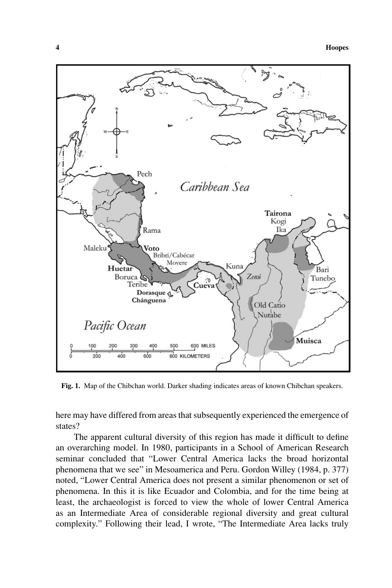

**Fig. 1.** Map of the Chibchan world. Darker shading indicates areas of known Chibchan speakers.

here may have differed from areas that subsequently experienced the emergence of states?

The apparent cultural diversity of this region has made it difficult to define an overarching model. In 1980, participants in a School of American Research seminar concluded that "Lower Central America lacks the broad horizontal phenomena that we see" in Mesoamerica and Peru. Gordon Willey (1984, p. 377) noted, "Lower Central America does not present a similar phenomenon or set of phenomena. In this it is like Ecuador and Colombia, and for the time being at least, the archaeologist is forced to view the whole of lower Central America as an Intermediate Area of considerable regional diversity and great cultural complexity." Following their lead, I wrote, "The Intermediate Area lacks truly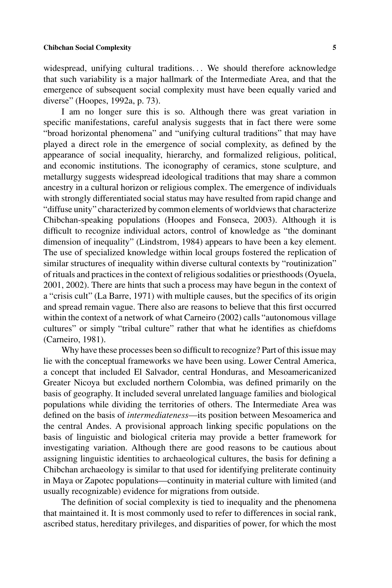widespread, unifying cultural traditions*...* We should therefore acknowledge that such variability is a major hallmark of the Intermediate Area, and that the emergence of subsequent social complexity must have been equally varied and diverse" (Hoopes, 1992a, p. 73).

I am no longer sure this is so. Although there was great variation in specific manifestations, careful analysis suggests that in fact there were some "broad horizontal phenomena" and "unifying cultural traditions" that may have played a direct role in the emergence of social complexity, as defined by the appearance of social inequality, hierarchy, and formalized religious, political, and economic institutions. The iconography of ceramics, stone sculpture, and metallurgy suggests widespread ideological traditions that may share a common ancestry in a cultural horizon or religious complex. The emergence of individuals with strongly differentiated social status may have resulted from rapid change and "diffuse unity" characterized by common elements of worldviews that characterize Chibchan-speaking populations (Hoopes and Fonseca, 2003). Although it is difficult to recognize individual actors, control of knowledge as "the dominant dimension of inequality" (Lindstrom, 1984) appears to have been a key element. The use of specialized knowledge within local groups fostered the replication of similar structures of inequality within diverse cultural contexts by "routinization" of rituals and practices in the context of religious sodalities or priesthoods (Oyuela, 2001, 2002). There are hints that such a process may have begun in the context of a "crisis cult" (La Barre, 1971) with multiple causes, but the specifics of its origin and spread remain vague. There also are reasons to believe that this first occurred within the context of a network of what Carneiro (2002) calls "autonomous village cultures" or simply "tribal culture" rather that what he identifies as chiefdoms (Carneiro, 1981).

Why have these processes been so difficult to recognize? Part of this issue may lie with the conceptual frameworks we have been using. Lower Central America, a concept that included El Salvador, central Honduras, and Mesoamericanized Greater Nicoya but excluded northern Colombia, was defined primarily on the basis of geography. It included several unrelated language families and biological populations while dividing the territories of others. The Intermediate Area was defined on the basis of *intermediateness*—its position between Mesoamerica and the central Andes. A provisional approach linking specific populations on the basis of linguistic and biological criteria may provide a better framework for investigating variation. Although there are good reasons to be cautious about assigning linguistic identities to archaeological cultures, the basis for defining a Chibchan archaeology is similar to that used for identifying preliterate continuity in Maya or Zapotec populations—continuity in material culture with limited (and usually recognizable) evidence for migrations from outside.

The definition of social complexity is tied to inequality and the phenomena that maintained it. It is most commonly used to refer to differences in social rank, ascribed status, hereditary privileges, and disparities of power, for which the most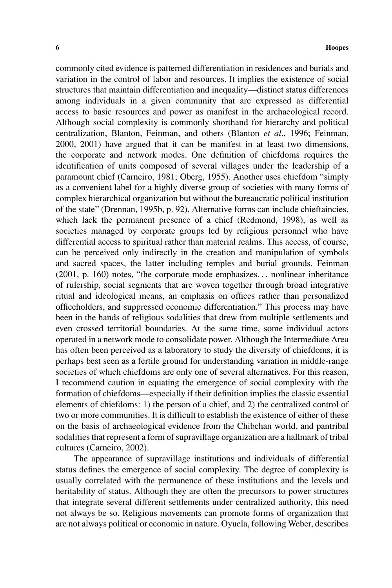commonly cited evidence is patterned differentiation in residences and burials and variation in the control of labor and resources. It implies the existence of social structures that maintain differentiation and inequality—distinct status differences among individuals in a given community that are expressed as differential access to basic resources and power as manifest in the archaeological record. Although social complexity is commonly shorthand for hierarchy and political centralization, Blanton, Feinman, and others (Blanton *et al.*, 1996; Feinman, 2000, 2001) have argued that it can be manifest in at least two dimensions, the corporate and network modes. One definition of chiefdoms requires the identification of units composed of several villages under the leadership of a paramount chief (Carneiro, 1981; Oberg, 1955). Another uses chiefdom "simply as a convenient label for a highly diverse group of societies with many forms of complex hierarchical organization but without the bureaucratic political institution of the state" (Drennan, 1995b, p. 92). Alternative forms can include chieftaincies, which lack the permanent presence of a chief (Redmond, 1998), as well as societies managed by corporate groups led by religious personnel who have differential access to spiritual rather than material realms. This access, of course, can be perceived only indirectly in the creation and manipulation of symbols and sacred spaces, the latter including temples and burial grounds. Feinman (2001, p. 160) notes, "the corporate mode emphasizes*...* nonlinear inheritance of rulership, social segments that are woven together through broad integrative ritual and ideological means, an emphasis on offices rather than personalized officeholders, and suppressed economic differentiation." This process may have been in the hands of religious sodalities that drew from multiple settlements and even crossed territorial boundaries. At the same time, some individual actors operated in a network mode to consolidate power. Although the Intermediate Area has often been perceived as a laboratory to study the diversity of chiefdoms, it is perhaps best seen as a fertile ground for understanding variation in middle-range societies of which chiefdoms are only one of several alternatives. For this reason, I recommend caution in equating the emergence of social complexity with the formation of chiefdoms—especially if their definition implies the classic essential elements of chiefdoms: 1) the person of a chief, and 2) the centralized control of two or more communities. It is difficult to establish the existence of either of these on the basis of archaeological evidence from the Chibchan world, and pantribal sodalities that represent a form of supravillage organization are a hallmark of tribal cultures (Carneiro, 2002).

The appearance of supravillage institutions and individuals of differential status defines the emergence of social complexity. The degree of complexity is usually correlated with the permanence of these institutions and the levels and heritability of status. Although they are often the precursors to power structures that integrate several different settlements under centralized authority, this need not always be so. Religious movements can promote forms of organization that are not always political or economic in nature. Oyuela, following Weber, describes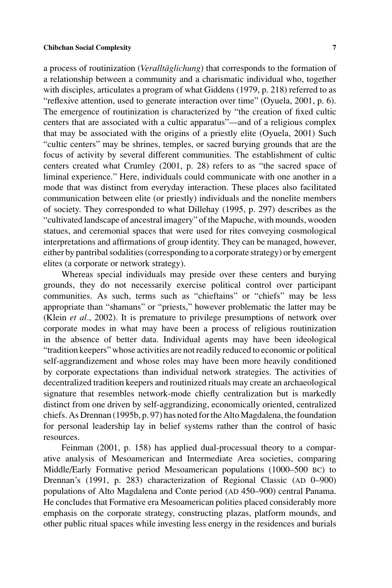a process of routinization (*Veralltäglichung*) that corresponds to the formation of a relationship between a community and a charismatic individual who, together with disciples, articulates a program of what Giddens (1979, p. 218) referred to as "reflexive attention, used to generate interaction over time" (Oyuela, 2001, p. 6). The emergence of routinization is characterized by "the creation of fixed cultic centers that are associated with a cultic apparatus"—and of a religious complex that may be associated with the origins of a priestly elite (Oyuela, 2001) Such "cultic centers" may be shrines, temples, or sacred burying grounds that are the focus of activity by several different communities. The establishment of cultic centers created what Crumley (2001, p. 28) refers to as "the sacred space of liminal experience." Here, individuals could communicate with one another in a mode that was distinct from everyday interaction. These places also facilitated communication between elite (or priestly) individuals and the nonelite members of society. They corresponded to what Dillehay (1995, p. 297) describes as the "cultivated landscape of ancestral imagery" of the Mapuche, with mounds, wooden statues, and ceremonial spaces that were used for rites conveying cosmological interpretations and affirmations of group identity. They can be managed, however, either by pantribal sodalities (corresponding to a corporate strategy) or by emergent elites (a corporate or network strategy).

Whereas special individuals may preside over these centers and burying grounds, they do not necessarily exercise political control over participant communities. As such, terms such as "chieftains" or "chiefs" may be less appropriate than "shamans" or "priests," however problematic the latter may be (Klein *et al.*, 2002). It is premature to privilege presumptions of network over corporate modes in what may have been a process of religious routinization in the absence of better data. Individual agents may have been ideological "tradition keepers" whose activities are not readily reduced to economic or political self-aggrandizement and whose roles may have been more heavily conditioned by corporate expectations than individual network strategies. The activities of decentralized tradition keepers and routinized rituals may create an archaeological signature that resembles network-mode chiefly centralization but is markedly distinct from one driven by self-aggrandizing, economically oriented, centralized chiefs. As Drennan (1995b, p. 97) has noted for the Alto Magdalena, the foundation for personal leadership lay in belief systems rather than the control of basic resources.

Feinman (2001, p. 158) has applied dual-processual theory to a comparative analysis of Mesoamerican and Intermediate Area societies, comparing Middle/Early Formative period Mesoamerican populations (1000–500 BC) to Drennan's (1991, p. 283) characterization of Regional Classic (AD 0–900) populations of Alto Magdalena and Conte period (AD 450–900) central Panama. He concludes that Formative era Mesoamerican polities placed considerably more emphasis on the corporate strategy, constructing plazas, platform mounds, and other public ritual spaces while investing less energy in the residences and burials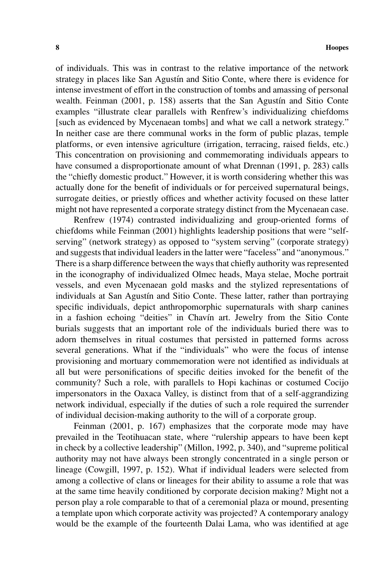of individuals. This was in contrast to the relative importance of the network strategy in places like San Agustín and Sitio Conte, where there is evidence for intense investment of effort in the construction of tombs and amassing of personal wealth. Feinman (2001, p. 158) asserts that the San Agustín and Sitio Conte examples "illustrate clear parallels with Renfrew's individualizing chiefdoms [such as evidenced by Mycenaean tombs] and what we call a network strategy." In neither case are there communal works in the form of public plazas, temple platforms, or even intensive agriculture (irrigation, terracing, raised fields, etc.) This concentration on provisioning and commemorating individuals appears to have consumed a disproportionate amount of what Drennan (1991, p. 283) calls the "chiefly domestic product." However, it is worth considering whether this was actually done for the benefit of individuals or for perceived supernatural beings, surrogate deities, or priestly offices and whether activity focused on these latter might not have represented a corporate strategy distinct from the Mycenaean case.

Renfrew (1974) contrasted individualizing and group-oriented forms of chiefdoms while Feinman (2001) highlights leadership positions that were "selfserving" (network strategy) as opposed to "system serving" (corporate strategy) and suggests that individual leaders in the latter were "faceless" and "anonymous." There is a sharp difference between the ways that chiefly authority was represented in the iconography of individualized Olmec heads, Maya stelae, Moche portrait vessels, and even Mycenaean gold masks and the stylized representations of individuals at San Agustín and Sitio Conte. These latter, rather than portraying specific individuals, depict anthropomorphic supernaturals with sharp canines in a fashion echoing "deities" in Chavín art. Jewelry from the Sitio Conte burials suggests that an important role of the individuals buried there was to adorn themselves in ritual costumes that persisted in patterned forms across several generations. What if the "individuals" who were the focus of intense provisioning and mortuary commemoration were not identified as individuals at all but were personifications of specific deities invoked for the benefit of the community? Such a role, with parallels to Hopi kachinas or costumed Cocijo impersonators in the Oaxaca Valley, is distinct from that of a self-aggrandizing network individual, especially if the duties of such a role required the surrender of individual decision-making authority to the will of a corporate group.

Feinman (2001, p. 167) emphasizes that the corporate mode may have prevailed in the Teotihuacan state, where "rulership appears to have been kept in check by a collective leadership" (Millon, 1992, p. 340), and "supreme political authority may not have always been strongly concentrated in a single person or lineage (Cowgill, 1997, p. 152). What if individual leaders were selected from among a collective of clans or lineages for their ability to assume a role that was at the same time heavily conditioned by corporate decision making? Might not a person play a role comparable to that of a ceremonial plaza or mound, presenting a template upon which corporate activity was projected? A contemporary analogy would be the example of the fourteenth Dalai Lama, who was identified at age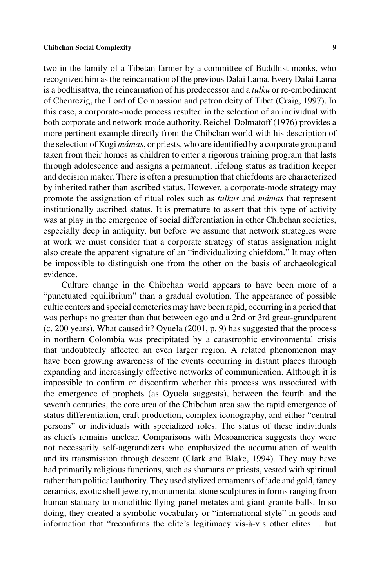two in the family of a Tibetan farmer by a committee of Buddhist monks, who recognized him as the reincarnation of the previous Dalai Lama. Every Dalai Lama is a bodhisattva, the reincarnation of his predecessor and a *tulku* or re-embodiment of Chenrezig, the Lord of Compassion and patron deity of Tibet (Craig, 1997). In this case, a corporate-mode process resulted in the selection of an individual with both corporate and network-mode authority. Reichel-Dolmatoff (1976) provides a more pertinent example directly from the Chibchan world with his description of the selection of Kogi *mámas*, or priests, who are identified by a corporate group and taken from their homes as children to enter a rigorous training program that lasts through adolescence and assigns a permanent, lifelong status as tradition keeper and decision maker. There is often a presumption that chiefdoms are characterized by inherited rather than ascribed status. However, a corporate-mode strategy may promote the assignation of ritual roles such as *tulkus* and *mamas* that represent institutionally ascribed status. It is premature to assert that this type of activity was at play in the emergence of social differentiation in other Chibchan societies, especially deep in antiquity, but before we assume that network strategies were at work we must consider that a corporate strategy of status assignation might also create the apparent signature of an "individualizing chiefdom." It may often be impossible to distinguish one from the other on the basis of archaeological evidence.

Culture change in the Chibchan world appears to have been more of a "punctuated equilibrium" than a gradual evolution. The appearance of possible cultic centers and special cemeteries may have been rapid, occurring in a period that was perhaps no greater than that between ego and a 2nd or 3rd great-grandparent (c. 200 years). What caused it? Oyuela (2001, p. 9) has suggested that the process in northern Colombia was precipitated by a catastrophic environmental crisis that undoubtedly affected an even larger region. A related phenomenon may have been growing awareness of the events occurring in distant places through expanding and increasingly effective networks of communication. Although it is impossible to confirm or disconfirm whether this process was associated with the emergence of prophets (as Oyuela suggests), between the fourth and the seventh centuries, the core area of the Chibchan area saw the rapid emergence of status differentiation, craft production, complex iconography, and either "central persons" or individuals with specialized roles. The status of these individuals as chiefs remains unclear. Comparisons with Mesoamerica suggests they were not necessarily self-aggrandizers who emphasized the accumulation of wealth and its transmission through descent (Clark and Blake, 1994). They may have had primarily religious functions, such as shamans or priests, vested with spiritual rather than political authority. They used stylized ornaments of jade and gold, fancy ceramics, exotic shell jewelry, monumental stone sculptures in forms ranging from human statuary to monolithic flying-panel metates and giant granite balls. In so doing, they created a symbolic vocabulary or "international style" in goods and information that "reconfirms the elite's legitimacy vis-à-vis other elites... but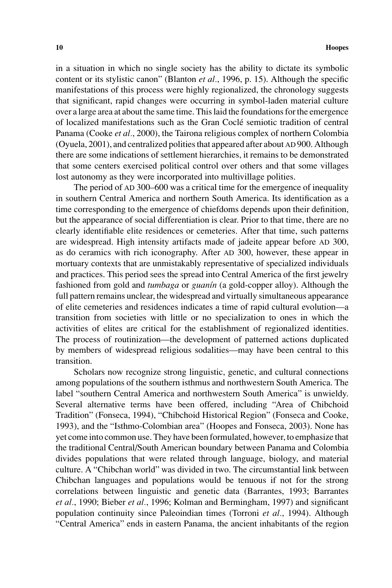in a situation in which no single society has the ability to dictate its symbolic content or its stylistic canon" (Blanton *et al.*, 1996, p. 15). Although the specific manifestations of this process were highly regionalized, the chronology suggests that significant, rapid changes were occurring in symbol-laden material culture over a large area at about the same time. This laid the foundations for the emergence of localized manifestations such as the Gran Cocle semiotic tradition of central ´ Panama (Cooke *et al.*, 2000), the Tairona religious complex of northern Colombia (Oyuela, 2001), and centralized polities that appeared after about AD 900. Although there are some indications of settlement hierarchies, it remains to be demonstrated that some centers exercised political control over others and that some villages lost autonomy as they were incorporated into multivillage polities.

The period of AD 300–600 was a critical time for the emergence of inequality in southern Central America and northern South America. Its identification as a time corresponding to the emergence of chiefdoms depends upon their definition, but the appearance of social differentiation is clear. Prior to that time, there are no clearly identifiable elite residences or cemeteries. After that time, such patterns are widespread. High intensity artifacts made of jadeite appear before AD 300, as do ceramics with rich iconography. After AD 300, however, these appear in mortuary contexts that are unmistakably representative of specialized individuals and practices. This period sees the spread into Central America of the first jewelry fashioned from gold and *tumbaga* or *guan´ın* (a gold-copper alloy). Although the full pattern remains unclear, the widespread and virtually simultaneous appearance of elite cemeteries and residences indicates a time of rapid cultural evolution—a transition from societies with little or no specialization to ones in which the activities of elites are critical for the establishment of regionalized identities. The process of routinization—the development of patterned actions duplicated by members of widespread religious sodalities—may have been central to this transition.

Scholars now recognize strong linguistic, genetic, and cultural connections among populations of the southern isthmus and northwestern South America. The label "southern Central America and northwestern South America" is unwieldy. Several alternative terms have been offered, including "Area of Chibchoid Tradition" (Fonseca, 1994), "Chibchoid Historical Region" (Fonseca and Cooke, 1993), and the "Isthmo-Colombian area" (Hoopes and Fonseca, 2003). None has yet come into common use. They have been formulated, however, to emphasize that the traditional Central/South American boundary between Panama and Colombia divides populations that were related through language, biology, and material culture. A "Chibchan world" was divided in two. The circumstantial link between Chibchan languages and populations would be tenuous if not for the strong correlations between linguistic and genetic data (Barrantes, 1993; Barrantes *et al.*, 1990; Bieber *et al.*, 1996; Kolman and Bermingham, 1997) and significant population continuity since Paleoindian times (Torroni *et al.*, 1994). Although "Central America" ends in eastern Panama, the ancient inhabitants of the region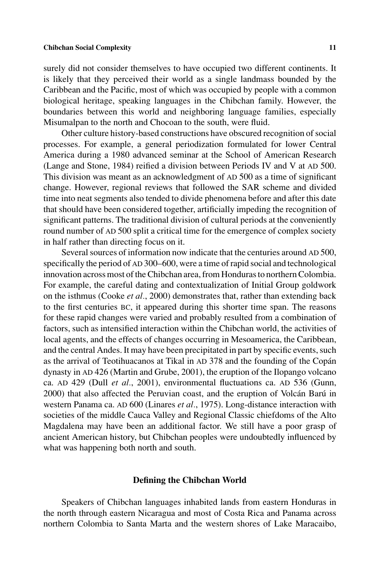surely did not consider themselves to have occupied two different continents. It is likely that they perceived their world as a single landmass bounded by the Caribbean and the Pacific, most of which was occupied by people with a common biological heritage, speaking languages in the Chibchan family. However, the boundaries between this world and neighboring language families, especially Misumalpan to the north and Chocoan to the south, were fluid.

Other culture history-based constructions have obscured recognition of social processes. For example, a general periodization formulated for lower Central America during a 1980 advanced seminar at the School of American Research (Lange and Stone, 1984) reified a division between Periods IV and V at AD 500. This division was meant as an acknowledgment of AD 500 as a time of significant change. However, regional reviews that followed the SAR scheme and divided time into neat segments also tended to divide phenomena before and after this date that should have been considered together, artificially impeding the recognition of significant patterns. The traditional division of cultural periods at the conveniently round number of AD 500 split a critical time for the emergence of complex society in half rather than directing focus on it.

Several sources of information now indicate that the centuries around AD 500, specifically the period of AD 300–600, were a time of rapid social and technological innovation across most of the Chibchan area, from Honduras to northern Colombia. For example, the careful dating and contextualization of Initial Group goldwork on the isthmus (Cooke *et al.*, 2000) demonstrates that, rather than extending back to the first centuries BC, it appeared during this shorter time span. The reasons for these rapid changes were varied and probably resulted from a combination of factors, such as intensified interaction within the Chibchan world, the activities of local agents, and the effects of changes occurring in Mesoamerica, the Caribbean, and the central Andes. It may have been precipitated in part by specific events, such as the arrival of Teotihuacanos at Tikal in AD 378 and the founding of the Copán dynasty in AD 426 (Martin and Grube, 2001), the eruption of the Ilopango volcano ca. AD 429 (Dull *et al.*, 2001), environmental fluctuations ca. AD 536 (Gunn, 2000) that also affected the Peruvian coast, and the eruption of Volcán Barú in western Panama ca. AD 600 (Linares *et al.*, 1975). Long-distance interaction with societies of the middle Cauca Valley and Regional Classic chiefdoms of the Alto Magdalena may have been an additional factor. We still have a poor grasp of ancient American history, but Chibchan peoples were undoubtedly influenced by what was happening both north and south.

## **Defining the Chibchan World**

Speakers of Chibchan languages inhabited lands from eastern Honduras in the north through eastern Nicaragua and most of Costa Rica and Panama across northern Colombia to Santa Marta and the western shores of Lake Maracaibo,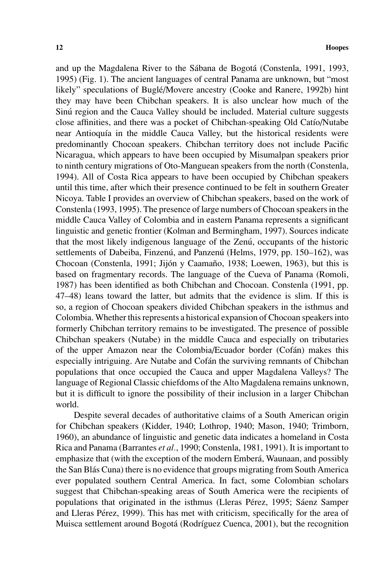and up the Magdalena River to the Sábana de Bogotá (Constenla, 1991, 1993, 1995) (Fig. 1). The ancient languages of central Panama are unknown, but "most likely" speculations of Buglé/Movere ancestry (Cooke and Ranere, 1992b) hint they may have been Chibchan speakers. It is also unclear how much of the Sinu region and the Cauca Valley should be included. Material culture suggests close affinities, and there was a pocket of Chibchan-speaking Old Catio/Nutabe near Antioquía in the middle Cauca Valley, but the historical residents were predominantly Chocoan speakers. Chibchan territory does not include Pacific Nicaragua, which appears to have been occupied by Misumalpan speakers prior to ninth century migrations of Oto-Manguean speakers from the north (Constenla, 1994). All of Costa Rica appears to have been occupied by Chibchan speakers until this time, after which their presence continued to be felt in southern Greater Nicoya. Table I provides an overview of Chibchan speakers, based on the work of Constenla (1993, 1995). The presence of large numbers of Chocoan speakers in the middle Cauca Valley of Colombia and in eastern Panama represents a significant linguistic and genetic frontier (Kolman and Bermingham, 1997). Sources indicate that the most likely indigenous language of the Zenú, occupants of the historic settlements of Dabeiba, Finzenu, and Panzenu (Helms, 1979, pp. 150–162), was Chocoan (Constenla, 1991; Jijón y Caamaño, 1938; Loewen, 1963), but this is based on fragmentary records. The language of the Cueva of Panama (Romoli, 1987) has been identified as both Chibchan and Chocoan. Constenla (1991, pp. 47–48) leans toward the latter, but admits that the evidence is slim. If this is so, a region of Chocoan speakers divided Chibchan speakers in the isthmus and Colombia. Whether this represents a historical expansion of Chocoan speakers into formerly Chibchan territory remains to be investigated. The presence of possible Chibchan speakers (Nutabe) in the middle Cauca and especially on tributaries of the upper Amazon near the Colombia/Ecuador border (Cofan) makes this ´ especially intriguing. Are Nutabe and Cofán the surviving remnants of Chibchan populations that once occupied the Cauca and upper Magdalena Valleys? The language of Regional Classic chiefdoms of the Alto Magdalena remains unknown, but it is difficult to ignore the possibility of their inclusion in a larger Chibchan world.

Despite several decades of authoritative claims of a South American origin for Chibchan speakers (Kidder, 1940; Lothrop, 1940; Mason, 1940; Trimborn, 1960), an abundance of linguistic and genetic data indicates a homeland in Costa Rica and Panama (Barrantes *et al.*, 1990; Constenla, 1981, 1991). It is important to emphasize that (with the exception of the modern Emberá, Waunaan, and possibly the San Blás Cuna) there is no evidence that groups migrating from South America ever populated southern Central America. In fact, some Colombian scholars suggest that Chibchan-speaking areas of South America were the recipients of populations that originated in the isthmus (Lleras Pérez, 1995; Sáenz Samper and Lleras Perez, 1999). This has met with criticism, specifically for the area of ´ Muisca settlement around Bogotá (Rodríguez Cuenca, 2001), but the recognition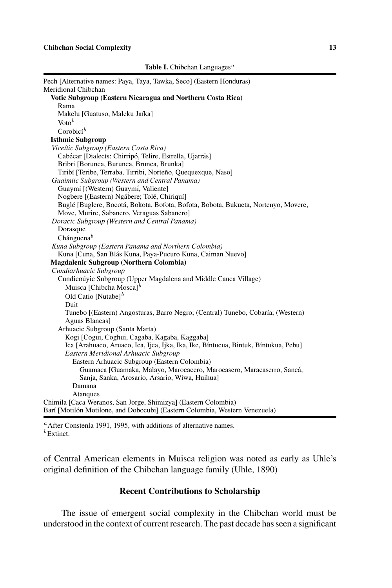Pech [Alternative names: Paya, Taya, Tawka, Seco] (Eastern Honduras) Meridional Chibchan **Votic Subgroup (Eastern Nicaragua and Northern Costa Rica)** Rama Makelu [Guatuso, Maleku Jaíka]  $V$ oto $b$  $Corobicí<sup>b</sup>$ **Isthmic Subgroup** *Vice´ıtic Subgroup (Eastern Costa Rica)* Cabécar [Dialects: Chirripó, Telire, Estrella, Ujarrás] Bribri [Borunca, Burunca, Brunca, Brunka] Tiribí [Teribe, Terraba, Tirribi, Norteño, Quequexque, Naso] *Guaimiic Subgroup (Western and Central Panama)* Guaymí [(Western) Guaymí, Valiente] Nogbere [(Eastern) Ngábere; Tolé, Chiriquí] Buglé [Buglere, Bocotá, Bokota, Bofota, Bofota, Bobota, Bukueta, Nortenyo, Movere, Move, Murire, Sabanero, Veraguas Sabanero] *Doracic Subgroup (Western and Central Panama)* Dorasque  $Chánguena<sup>b</sup>$ *Kuna Subgroup (Eastern Panama and Northern Colombia)* Kuna [Cuna, San Blás Kuna, Paya-Pucuro Kuna, Caiman Nuevo] **Magdalenic Subgroup (Northern Colombia)** *Cundiarhuacic Subgroup* Cundicoúyic Subgroup (Upper Magdalena and Middle Cauca Village) Muisca [Chibcha Mosca] $<sup>b</sup>$ </sup> Old Catio [Nutabe] $<sup>b</sup>$ </sup> Duit Tunebo [(Eastern) Angosturas, Barro Negro; (Central) Tunebo, Cobaría; (Western) Aguas Blancas] Arhuacic Subgroup (Santa Marta) Kogi [Cogui, Coghui, Cagaba, Kagaba, Kaggaba] Ica [Arahuaco, Aruaco, Ica, Ijca, Ijka, Ika, Ike, Bíntucua, Bintuk, Bíntukua, Pebu] *Eastern Meridional Arhuacic Subgroup* Eastern Arhuacic Subgroup (Eastern Colombia) Guamaca [Guamaka, Malayo, Marocacero, Marocasero, Maracaserro, Sanca,´ Sanja, Sanka, Arosario, Arsario, Wiwa, Huihua] Damana Atanques Chimila [Caca Weranos, San Jorge, Shimizya] (Eastern Colombia) Barí [Motilón Motilone, and Dobocubi] (Eastern Colombia, Western Venezuela)

<sup>a</sup> After Constenla 1991, 1995, with additions of alternative names.  $<sup>b</sup>$ Extinct.</sup>

of Central American elements in Muisca religion was noted as early as Uhle's original definition of the Chibchan language family (Uhle, 1890)

# **Recent Contributions to Scholarship**

The issue of emergent social complexity in the Chibchan world must be understood in the context of current research. The past decade has seen a significant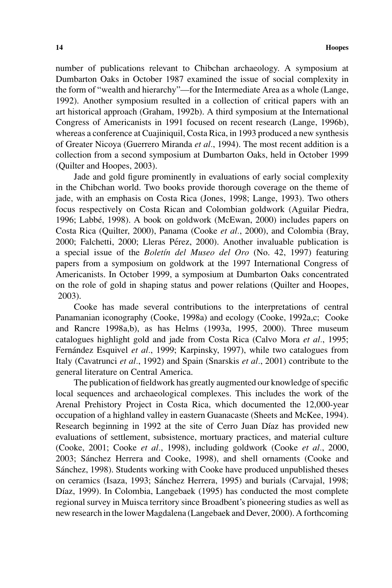number of publications relevant to Chibchan archaeology. A symposium at Dumbarton Oaks in October 1987 examined the issue of social complexity in the form of "wealth and hierarchy"—for the Intermediate Area as a whole (Lange, 1992). Another symposium resulted in a collection of critical papers with an art historical approach (Graham, 1992b). A third symposium at the International Congress of Americanists in 1991 focused on recent research (Lange, 1996b), whereas a conference at Cuajiniquil, Costa Rica, in 1993 produced a new synthesis of Greater Nicoya (Guerrero Miranda *et al.*, 1994). The most recent addition is a collection from a second symposium at Dumbarton Oaks, held in October 1999 (Quilter and Hoopes, 2003).

Jade and gold figure prominently in evaluations of early social complexity in the Chibchan world. Two books provide thorough coverage on the theme of jade, with an emphasis on Costa Rica (Jones, 1998; Lange, 1993). Two others focus respectively on Costa Rican and Colombian goldwork (Aguilar Piedra, 1996; Labbe, 1998). A book on goldwork (McEwan, 2000) includes papers on ´ Costa Rica (Quilter, 2000), Panama (Cooke *et al.*, 2000), and Colombia (Bray, 2000; Falchetti, 2000; Lleras Pérez, 2000). Another invaluable publication is a special issue of the *Bolet´ın del Museo del Oro* (No. 42, 1997) featuring papers from a symposium on goldwork at the 1997 International Congress of Americanists. In October 1999, a symposium at Dumbarton Oaks concentrated on the role of gold in shaping status and power relations (Quilter and Hoopes, 2003).

Cooke has made several contributions to the interpretations of central Panamanian iconography (Cooke, 1998a) and ecology (Cooke, 1992a,c; Cooke and Rancre 1998a,b), as has Helms (1993a, 1995, 2000). Three museum catalogues highlight gold and jade from Costa Rica (Calvo Mora *et al.*, 1995; Fernández Esquivel et al., 1999; Karpinsky, 1997), while two catalogues from Italy (Cavatrunci *et al.*, 1992) and Spain (Snarskis *et al.*, 2001) contribute to the general literature on Central America.

The publication of fieldwork has greatly augmented our knowledge of specific local sequences and archaeological complexes. This includes the work of the Arenal Prehistory Project in Costa Rica, which documented the 12,000-year occupation of a highland valley in eastern Guanacaste (Sheets and McKee, 1994). Research beginning in 1992 at the site of Cerro Juan Díaz has provided new evaluations of settlement, subsistence, mortuary practices, and material culture (Cooke, 2001; Cooke *et al.*, 1998), including goldwork (Cooke *et al.*, 2000, 2003; Sánchez Herrera and Cooke, 1998), and shell ornaments (Cooke and Sánchez, 1998). Students working with Cooke have produced unpublished theses on ceramics (Isaza, 1993; Sánchez Herrera, 1995) and burials (Carvajal, 1998; Díaz, 1999). In Colombia, Langebaek (1995) has conducted the most complete regional survey in Muisca territory since Broadbent's pioneering studies as well as new research in the lower Magdalena (Langebaek and Dever, 2000). A forthcoming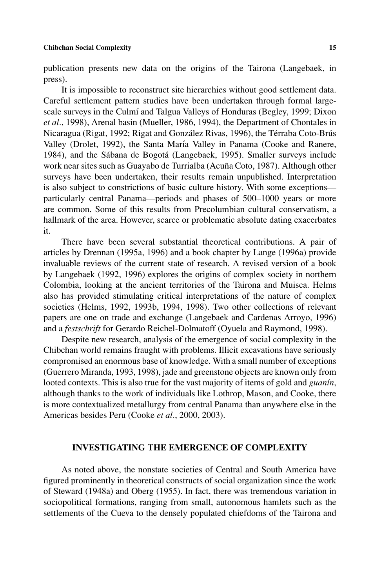publication presents new data on the origins of the Tairona (Langebaek, in press).

It is impossible to reconstruct site hierarchies without good settlement data. Careful settlement pattern studies have been undertaken through formal largescale surveys in the Culmí and Talgua Valleys of Honduras (Begley, 1999; Dixon *et al.*, 1998), Arenal basin (Mueller, 1986, 1994), the Department of Chontales in Nicaragua (Rigat, 1992; Rigat and González Rivas, 1996), the Térraba Coto-Brús Valley (Drolet, 1992), the Santa María Valley in Panama (Cooke and Ranere, 1984), and the Sábana de Bogotá (Langebaek, 1995). Smaller surveys include work near sites such as Guayabo de Turrialba (Acuña Coto, 1987). Although other surveys have been undertaken, their results remain unpublished. Interpretation is also subject to constrictions of basic culture history. With some exceptions particularly central Panama—periods and phases of 500–1000 years or more are common. Some of this results from Precolumbian cultural conservatism, a hallmark of the area. However, scarce or problematic absolute dating exacerbates it.

There have been several substantial theoretical contributions. A pair of articles by Drennan (1995a, 1996) and a book chapter by Lange (1996a) provide invaluable reviews of the current state of research. A revised version of a book by Langebaek (1992, 1996) explores the origins of complex society in northern Colombia, looking at the ancient territories of the Tairona and Muisca. Helms also has provided stimulating critical interpretations of the nature of complex societies (Helms, 1992, 1993b, 1994, 1998). Two other collections of relevant papers are one on trade and exchange (Langebaek and Cardenas Arroyo, 1996) and a *festschrift* for Gerardo Reichel-Dolmatoff (Oyuela and Raymond, 1998).

Despite new research, analysis of the emergence of social complexity in the Chibchan world remains fraught with problems. Illicit excavations have seriously compromised an enormous base of knowledge. With a small number of exceptions (Guerrero Miranda, 1993, 1998), jade and greenstone objects are known only from looted contexts. This is also true for the vast majority of items of gold and *guanin*, although thanks to the work of individuals like Lothrop, Mason, and Cooke, there is more contextualized metallurgy from central Panama than anywhere else in the Americas besides Peru (Cooke *et al.*, 2000, 2003).

# **INVESTIGATING THE EMERGENCE OF COMPLEXITY**

As noted above, the nonstate societies of Central and South America have figured prominently in theoretical constructs of social organization since the work of Steward (1948a) and Oberg (1955). In fact, there was tremendous variation in sociopolitical formations, ranging from small, autonomous hamlets such as the settlements of the Cueva to the densely populated chiefdoms of the Tairona and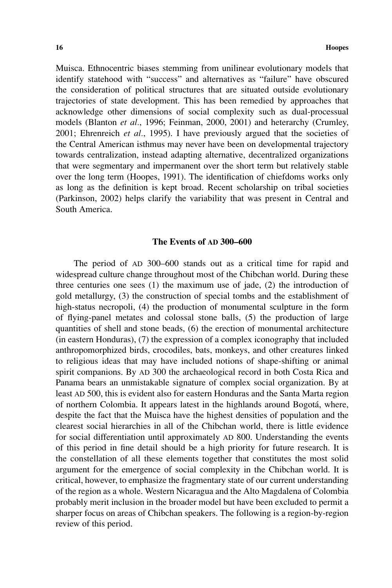Muisca. Ethnocentric biases stemming from unilinear evolutionary models that identify statehood with "success" and alternatives as "failure" have obscured the consideration of political structures that are situated outside evolutionary trajectories of state development. This has been remedied by approaches that acknowledge other dimensions of social complexity such as dual-processual models (Blanton *et al.*, 1996; Feinman, 2000, 2001) and heterarchy (Crumley, 2001; Ehrenreich *et al.*, 1995). I have previously argued that the societies of the Central American isthmus may never have been on developmental trajectory towards centralization, instead adapting alternative, decentralized organizations that were segmentary and impermanent over the short term but relatively stable over the long term (Hoopes, 1991). The identification of chiefdoms works only as long as the definition is kept broad. Recent scholarship on tribal societies (Parkinson, 2002) helps clarify the variability that was present in Central and South America.

# **The Events of AD 300–600**

The period of AD 300–600 stands out as a critical time for rapid and widespread culture change throughout most of the Chibchan world. During these three centuries one sees (1) the maximum use of jade, (2) the introduction of gold metallurgy, (3) the construction of special tombs and the establishment of high-status necropoli, (4) the production of monumental sculpture in the form of flying-panel metates and colossal stone balls, (5) the production of large quantities of shell and stone beads, (6) the erection of monumental architecture (in eastern Honduras), (7) the expression of a complex iconography that included anthropomorphized birds, crocodiles, bats, monkeys, and other creatures linked to religious ideas that may have included notions of shape-shifting or animal spirit companions. By AD 300 the archaeological record in both Costa Rica and Panama bears an unmistakable signature of complex social organization. By at least AD 500, this is evident also for eastern Honduras and the Santa Marta region of northern Colombia. It appears latest in the highlands around Bogota, where, ´ despite the fact that the Muisca have the highest densities of population and the clearest social hierarchies in all of the Chibchan world, there is little evidence for social differentiation until approximately AD 800. Understanding the events of this period in fine detail should be a high priority for future research. It is the constellation of all these elements together that constitutes the most solid argument for the emergence of social complexity in the Chibchan world. It is critical, however, to emphasize the fragmentary state of our current understanding of the region as a whole. Western Nicaragua and the Alto Magdalena of Colombia probably merit inclusion in the broader model but have been excluded to permit a sharper focus on areas of Chibchan speakers. The following is a region-by-region review of this period.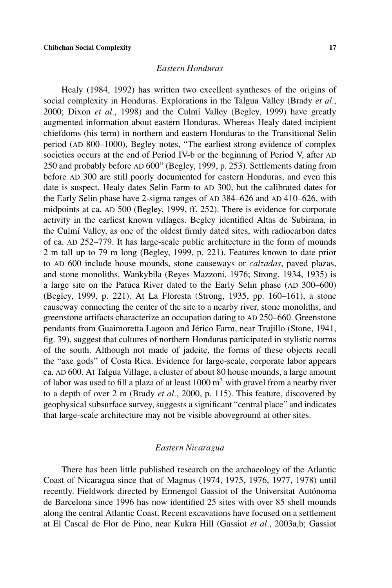Healy (1984, 1992) has written two excellent syntheses of the origins of social complexity in Honduras. Explorations in the Talgua Valley (Brady *et al.*, 2000; Dixon *et al.*, 1998) and the Culmí Valley (Begley, 1999) have greatly augmented information about eastern Honduras. Whereas Healy dated incipient chiefdoms (his term) in northern and eastern Honduras to the Transitional Selin period (AD 800–1000), Begley notes, "The earliest strong evidence of complex societies occurs at the end of Period IV-b or the beginning of Period V, after AD 250 and probably before AD 600" (Begley, 1999, p. 253). Settlements dating from before AD 300 are still poorly documented for eastern Honduras, and even this date is suspect. Healy dates Selin Farm to AD 300, but the calibrated dates for the Early Selin phase have 2-sigma ranges of AD 384–626 and AD 410–626, with midpoints at ca. AD 500 (Begley, 1999, ff. 252). There is evidence for corporate activity in the earliest known villages. Begley identified Altas de Subirana, in the Culmí Valley, as one of the oldest firmly dated sites, with radiocarbon dates of ca. AD 252–779. It has large-scale public architecture in the form of mounds 2 m tall up to 79 m long (Begley, 1999, p. 221). Features known to date prior to AD 600 include house mounds, stone causeways or *calzadas*, paved plazas, and stone monoliths. Wankybila (Reyes Mazzoni, 1976; Strong, 1934, 1935) is a large site on the Patuca River dated to the Early Selin phase (AD 300–600) (Begley, 1999, p. 221). At La Floresta (Strong, 1935, pp. 160–161), a stone causeway connecting the center of the site to a nearby river, stone monoliths, and greenstone artifacts characterize an occupation dating to AD 250–660. Greenstone pendants from Guaimoretta Lagoon and Jérico Farm, near Trujillo (Stone, 1941, fig. 39), suggest that cultures of northern Honduras participated in stylistic norms of the south. Although not made of jadeite, the forms of these objects recall the "axe gods" of Costa Rica. Evidence for large-scale, corporate labor appears ca. AD 600. At Talgua Village, a cluster of about 80 house mounds, a large amount of labor was used to fill a plaza of at least  $1000 \text{ m}^3$  with gravel from a nearby river to a depth of over 2 m (Brady *et al.*, 2000, p. 115). This feature, discovered by geophysical subsurface survey, suggests a significant "central place" and indicates that large-scale architecture may not be visible aboveground at other sites.

# *Eastern Nicaragua*

There has been little published research on the archaeology of the Atlantic Coast of Nicaragua since that of Magnus (1974, 1975, 1976, 1977, 1978) until recently. Fieldwork directed by Ermengol Gassiot of the Universitat Autónoma de Barcelona since 1996 has now identified 25 sites with over 85 shell mounds along the central Atlantic Coast. Recent excavations have focused on a settlement at El Cascal de Flor de Pino, near Kukra Hill (Gassiot *et al.*, 2003a,b; Gassiot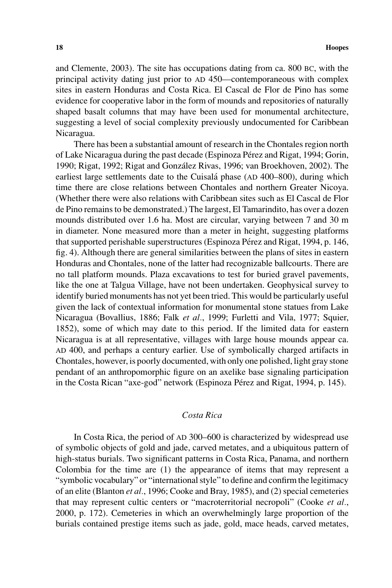and Clemente, 2003). The site has occupations dating from ca. 800 BC, with the principal activity dating just prior to AD 450—contemporaneous with complex sites in eastern Honduras and Costa Rica. El Cascal de Flor de Pino has some evidence for cooperative labor in the form of mounds and repositories of naturally shaped basalt columns that may have been used for monumental architecture, suggesting a level of social complexity previously undocumented for Caribbean Nicaragua.

There has been a substantial amount of research in the Chontales region north of Lake Nicaragua during the past decade (Espinoza Perez and Rigat, 1994; Gorin, ´ 1990; Rigat, 1992; Rigat and Gonzalez Rivas, 1996; van Broekhoven, 2002). The ´ earliest large settlements date to the Cuisalá phase (AD 400–800), during which time there are close relations between Chontales and northern Greater Nicoya. (Whether there were also relations with Caribbean sites such as El Cascal de Flor de Pino remains to be demonstrated.) The largest, El Tamarindito, has over a dozen mounds distributed over 1.6 ha. Most are circular, varying between 7 and 30 m in diameter. None measured more than a meter in height, suggesting platforms that supported perishable superstructures (Espinoza Pérez and Rigat, 1994, p. 146, fig. 4). Although there are general similarities between the plans of sites in eastern Honduras and Chontales, none of the latter had recognizable ballcourts. There are no tall platform mounds. Plaza excavations to test for buried gravel pavements, like the one at Talgua Village, have not been undertaken. Geophysical survey to identify buried monuments has not yet been tried. This would be particularly useful given the lack of contextual information for monumental stone statues from Lake Nicaragua (Bovallius, 1886; Falk *et al.*, 1999; Furletti and Vila, 1977; Squier, 1852), some of which may date to this period. If the limited data for eastern Nicaragua is at all representative, villages with large house mounds appear ca. AD 400, and perhaps a century earlier. Use of symbolically charged artifacts in Chontales, however, is poorly documented, with only one polished, light gray stone pendant of an anthropomorphic figure on an axelike base signaling participation in the Costa Rican "axe-god" network (Espinoza Pérez and Rigat, 1994, p. 145).

# *Costa Rica*

In Costa Rica, the period of AD 300–600 is characterized by widespread use of symbolic objects of gold and jade, carved metates, and a ubiquitous pattern of high-status burials. Two significant patterns in Costa Rica, Panama, and northern Colombia for the time are (1) the appearance of items that may represent a "symbolic vocabulary" or "international style" to define and confirm the legitimacy of an elite (Blanton *et al.*, 1996; Cooke and Bray, 1985), and (2) special cemeteries that may represent cultic centers or "macroterritorial necropoli" (Cooke *et al.*, 2000, p. 172). Cemeteries in which an overwhelmingly large proportion of the burials contained prestige items such as jade, gold, mace heads, carved metates,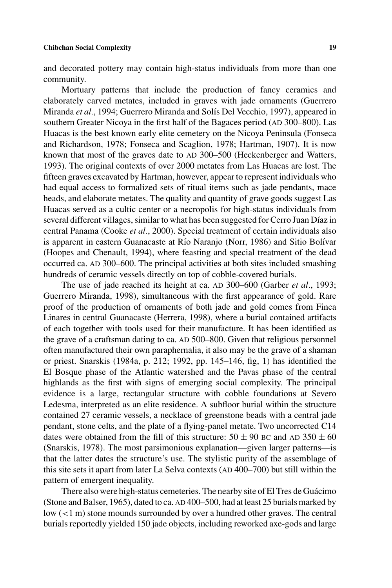and decorated pottery may contain high-status individuals from more than one community.

Mortuary patterns that include the production of fancy ceramics and elaborately carved metates, included in graves with jade ornaments (Guerrero Miranda *et al.*, 1994; Guerrero Miranda and Solís Del Vecchio, 1997), appeared in southern Greater Nicoya in the first half of the Bagaces period (AD 300–800). Las Huacas is the best known early elite cemetery on the Nicoya Peninsula (Fonseca and Richardson, 1978; Fonseca and Scaglion, 1978; Hartman, 1907). It is now known that most of the graves date to AD 300–500 (Heckenberger and Watters, 1993). The original contexts of over 2000 metates from Las Huacas are lost. The fifteen graves excavated by Hartman, however, appear to represent individuals who had equal access to formalized sets of ritual items such as jade pendants, mace heads, and elaborate metates. The quality and quantity of grave goods suggest Las Huacas served as a cultic center or a necropolis for high-status individuals from several different villages, similar to what has been suggested for Cerro Juan Díaz in central Panama (Cooke *et al.*, 2000). Special treatment of certain individuals also is apparent in eastern Guanacaste at Río Naranjo (Norr, 1986) and Sitio Bolívar (Hoopes and Chenault, 1994), where feasting and special treatment of the dead occurred ca. AD 300–600. The principal activities at both sites included smashing hundreds of ceramic vessels directly on top of cobble-covered burials.

The use of jade reached its height at ca. AD 300–600 (Garber *et al.*, 1993; Guerrero Miranda, 1998), simultaneous with the first appearance of gold. Rare proof of the production of ornaments of both jade and gold comes from Finca Linares in central Guanacaste (Herrera, 1998), where a burial contained artifacts of each together with tools used for their manufacture. It has been identified as the grave of a craftsman dating to ca. AD 500–800. Given that religious personnel often manufactured their own paraphernalia, it also may be the grave of a shaman or priest. Snarskis (1984a, p. 212; 1992, pp. 145–146, fig, 1) has identified the El Bosque phase of the Atlantic watershed and the Pavas phase of the central highlands as the first with signs of emerging social complexity. The principal evidence is a large, rectangular structure with cobble foundations at Severo Ledesma, interpreted as an elite residence. A subfloor burial within the structure contained 27 ceramic vessels, a necklace of greenstone beads with a central jade pendant, stone celts, and the plate of a flying-panel metate. Two uncorrected C14 dates were obtained from the fill of this structure:  $50 \pm 90$  BC and AD 350  $\pm$  60 (Snarskis, 1978). The most parsimonious explanation—given larger patterns—is that the latter dates the structure's use. The stylistic purity of the assemblage of this site sets it apart from later La Selva contexts (AD 400–700) but still within the pattern of emergent inequality.

There also were high-status cemeteries. The nearby site of El Tres de Guácimo (Stone and Balser, 1965), dated to ca. AD 400–500, had at least 25 burials marked by low (*<*1 m) stone mounds surrounded by over a hundred other graves. The central burials reportedly yielded 150 jade objects, including reworked axe-gods and large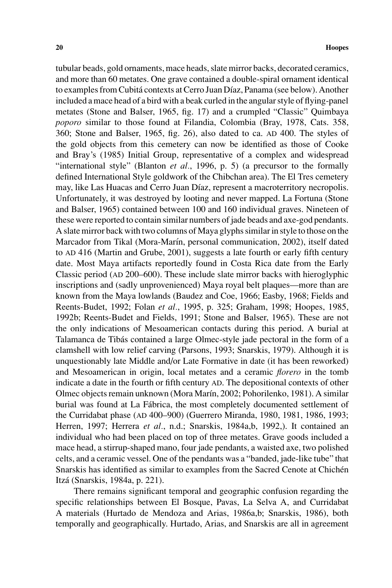tubular beads, gold ornaments, mace heads, slate mirror backs, decorated ceramics, and more than 60 metates. One grave contained a double-spiral ornament identical to examples from Cubitá contexts at Cerro Juan Díaz, Panama (see below). Another included a mace head of a bird with a beak curled in the angular style of flying-panel metates (Stone and Balser, 1965, fig. 17) and a crumpled "Classic" Quimbaya *poporo* similar to those found at Filandia, Colombia (Bray, 1978, Cats. 358, 360; Stone and Balser, 1965, fig. 26), also dated to ca. AD 400. The styles of the gold objects from this cemetery can now be identified as those of Cooke and Bray's (1985) Initial Group, representative of a complex and widespread "international style" (Blanton *et al.*, 1996, p. 5) (a precursor to the formally defined International Style goldwork of the Chibchan area). The El Tres cemetery may, like Las Huacas and Cerro Juan Díaz, represent a macroterritory necropolis. Unfortunately, it was destroyed by looting and never mapped. La Fortuna (Stone and Balser, 1965) contained between 100 and 160 individual graves. Nineteen of these were reported to contain similar numbers of jade beads and axe-god pendants. A slate mirror back with two columns of Maya glyphs similar in style to those on the Marcador from Tikal (Mora-Marín, personal communication, 2002), itself dated to AD 416 (Martin and Grube, 2001), suggests a late fourth or early fifth century date. Most Maya artifacts reportedly found in Costa Rica date from the Early Classic period (AD 200–600). These include slate mirror backs with hieroglyphic inscriptions and (sadly unprovenienced) Maya royal belt plaques—more than are known from the Maya lowlands (Baudez and Coe, 1966; Easby, 1968; Fields and Reents-Budet, 1992; Folan *et al.*, 1995, p. 325; Graham, 1998; Hoopes, 1985, 1992b; Reents-Budet and Fields, 1991; Stone and Balser, 1965). These are not the only indications of Mesoamerican contacts during this period. A burial at Talamanca de Tibas contained a large Olmec-style jade pectoral in the form of a ´ clamshell with low relief carving (Parsons, 1993; Snarskis, 1979). Although it is unquestionably late Middle and/or Late Formative in date (it has been reworked) and Mesoamerican in origin, local metates and a ceramic *florero* in the tomb indicate a date in the fourth or fifth century AD. The depositional contexts of other Olmec objects remain unknown (Mora Mar´ın, 2002; Pohorilenko, 1981). A similar burial was found at La Fabrica, the most completely documented settlement of ´ the Curridabat phase (AD 400–900) (Guerrero Miranda, 1980, 1981, 1986, 1993; Herren, 1997; Herrera *et al.*, n.d.; Snarskis, 1984a,b, 1992,). It contained an individual who had been placed on top of three metates. Grave goods included a mace head, a stirrup-shaped mano, four jade pendants, a waisted axe, two polished celts, and a ceramic vessel. One of the pendants was a "banded, jade-like tube" that Snarskis has identified as similar to examples from the Sacred Cenote at Chichén Itza (Snarskis, 1984a, p. 221). ´

There remains significant temporal and geographic confusion regarding the specific relationships between El Bosque, Pavas, La Selva A, and Curridabat A materials (Hurtado de Mendoza and Arias, 1986a,b; Snarskis, 1986), both temporally and geographically. Hurtado, Arias, and Snarskis are all in agreement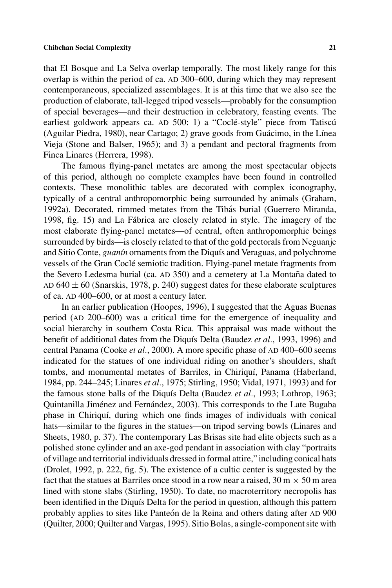that El Bosque and La Selva overlap temporally. The most likely range for this overlap is within the period of ca. AD 300–600, during which they may represent contemporaneous, specialized assemblages. It is at this time that we also see the production of elaborate, tall-legged tripod vessels—probably for the consumption of special beverages—and their destruction in celebratory, feasting events. The earliest goldwork appears ca. AD  $500$ : 1) a "Coclé-style" piece from Tatiscú (Aguilar Piedra, 1980), near Cartago; 2) grave goods from Guácimo, in the Línea Vieja (Stone and Balser, 1965); and 3) a pendant and pectoral fragments from Finca Linares (Herrera, 1998).

The famous flying-panel metates are among the most spectacular objects of this period, although no complete examples have been found in controlled contexts. These monolithic tables are decorated with complex iconography, typically of a central anthropomorphic being surrounded by animals (Graham, 1992a). Decorated, rimmed metates from the Tibás burial (Guerrero Miranda, 1998, fig. 15) and La Fábrica are closely related in style. The imagery of the most elaborate flying-panel metates—of central, often anthropomorphic beings surrounded by birds—is closely related to that of the gold pectorals from Neguanje and Sitio Conte, *guanín* ornaments from the Diquís and Veraguas, and polychrome vessels of the Gran Coclé semiotic tradition. Flying-panel metate fragments from the Severo Ledesma burial (ca. AD 350) and a cemetery at La Montaña dated to AD  $640 \pm 60$  (Snarskis, 1978, p. 240) suggest dates for these elaborate sculptures of ca. AD 400–600, or at most a century later.

In an earlier publication (Hoopes, 1996), I suggested that the Aguas Buenas period (AD 200–600) was a critical time for the emergence of inequality and social hierarchy in southern Costa Rica. This appraisal was made without the benefit of additional dates from the Diquís Delta (Baudez *et al.*, 1993, 1996) and central Panama (Cooke *et al.*, 2000). A more specific phase of AD 400–600 seems indicated for the statues of one individual riding on another's shoulders, shaft tombs, and monumental metates of Barriles, in Chiriquí, Panama (Haberland, 1984, pp. 244–245; Linares *et al.*, 1975; Stirling, 1950; Vidal, 1971, 1993) and for the famous stone balls of the Diquís Delta (Baudez *et al.*, 1993; Lothrop, 1963; Quintanilla Jiménez and Fernández, 2003). This corresponds to the Late Bugaba phase in Chiriquí, during which one finds images of individuals with conical hats—similar to the figures in the statues—on tripod serving bowls (Linares and Sheets, 1980, p. 37). The contemporary Las Brisas site had elite objects such as a polished stone cylinder and an axe-god pendant in association with clay "portraits of village and territorial individuals dressed in formal attire," including conical hats (Drolet, 1992, p. 222, fig. 5). The existence of a cultic center is suggested by the fact that the statues at Barriles once stood in a row near a raised,  $30 \text{ m} \times 50 \text{ m}$  area lined with stone slabs (Stirling, 1950). To date, no macroterritory necropolis has been identified in the Diquís Delta for the period in question, although this pattern probably applies to sites like Panteón de la Reina and others dating after  $AD 900$ (Quilter, 2000; Quilter and Vargas, 1995). Sitio Bolas, a single-component site with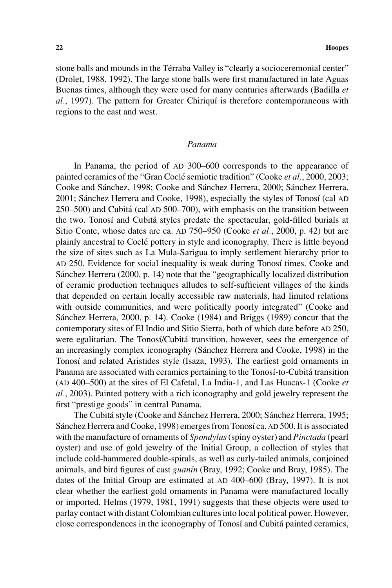stone balls and mounds in the Terraba Valley is "clearly a socioceremonial center" ´ (Drolet, 1988, 1992). The large stone balls were first manufactured in late Aguas Buenas times, although they were used for many centuries afterwards (Badilla *et al.*, 1997). The pattern for Greater Chiriquí is therefore contemporaneous with regions to the east and west.

## *Panama*

In Panama, the period of AD 300–600 corresponds to the appearance of painted ceramics of the "Gran Cocle semiotic tradition" (Cooke *et al.*, 2000, 2003; Cooke and Sánchez, 1998; Cooke and Sánchez Herrera, 2000; Sánchez Herrera, 2001; Sánchez Herrera and Cooke, 1998), especially the styles of Tonosí (cal AD  $250-500$ ) and Cubita (cal AD  $500-700$ ), with emphasis on the transition between the two. Tonosí and Cubitá styles predate the spectacular, gold-filled burials at Sitio Conte, whose dates are ca. AD 750–950 (Cooke *et al.*, 2000, p. 42) but are plainly ancestral to Coclé pottery in style and iconography. There is little beyond the size of sites such as La Mula-Sarigua to imply settlement hierarchy prior to AD 250. Evidence for social inequality is weak during Tonosí times. Cooke and Sánchez Herrera  $(2000, p. 14)$  note that the "geographically localized distribution of ceramic production techniques alludes to self-sufficient villages of the kinds that depended on certain locally accessible raw materials, had limited relations with outside communities, and were politically poorly integrated" (Cooke and Sánchez Herrera, 2000, p. 14). Cooke (1984) and Briggs (1989) concur that the contemporary sites of El Indio and Sitio Sierra, both of which date before AD 250, were egalitarian. The Tonosí/Cubitá transition, however, sees the emergence of an increasingly complex iconography (Sanchez Herrera and Cooke, 1998) in the ´ Tonosí and related Aristides style (Isaza, 1993). The earliest gold ornaments in Panama are associated with ceramics pertaining to the Tonosí-to-Cubita transition (AD 400–500) at the sites of El Cafetal, La India-1, and Las Huacas-1 (Cooke *et al.*, 2003). Painted pottery with a rich iconography and gold jewelry represent the first "prestige goods" in central Panama.

The Cubitá style (Cooke and Sánchez Herrera, 2000; Sánchez Herrera, 1995; Sánchez Herrera and Cooke, 1998) emerges from Tonosí ca. AD 500. It is associated with the manufacture of ornaments of *Spondylus*(spiny oyster) and *Pinctada* (pearl oyster) and use of gold jewelry of the Initial Group, a collection of styles that include cold-hammered double-spirals, as well as curly-tailed animals, conjoined animals, and bird figures of cast *guan´ın* (Bray, 1992; Cooke and Bray, 1985). The dates of the Initial Group are estimated at AD 400–600 (Bray, 1997). It is not clear whether the earliest gold ornaments in Panama were manufactured locally or imported. Helms (1979, 1981, 1991) suggests that these objects were used to parlay contact with distant Colombian cultures into local political power. However, close correspondences in the iconography of Tonosí and Cubitá painted ceramics,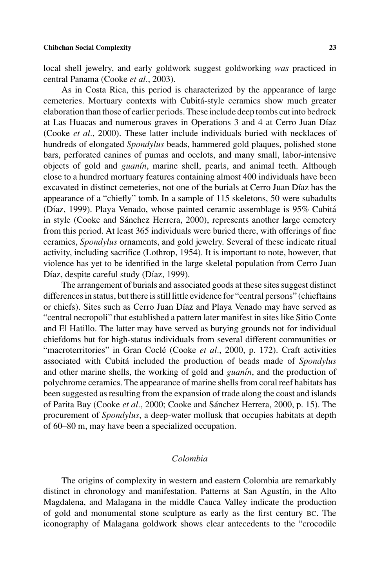local shell jewelry, and early goldwork suggest goldworking *was* practiced in central Panama (Cooke *et al.*, 2003).

As in Costa Rica, this period is characterized by the appearance of large cemeteries. Mortuary contexts with Cubitá-style ceramics show much greater elaboration than those of earlier periods. These include deep tombs cut into bedrock at Las Huacas and numerous graves in Operations 3 and 4 at Cerro Juan Díaz (Cooke *et al.*, 2000). These latter include individuals buried with necklaces of hundreds of elongated *Spondylus* beads, hammered gold plaques, polished stone bars, perforated canines of pumas and ocelots, and many small, labor-intensive objects of gold and *guan´ın*, marine shell, pearls, and animal teeth. Although close to a hundred mortuary features containing almost 400 individuals have been excavated in distinct cemeteries, not one of the burials at Cerro Juan Díaz has the appearance of a "chiefly" tomb. In a sample of 115 skeletons, 50 were subadults (Díaz, 1999). Playa Venado, whose painted ceramic assemblage is 95% Cubitá in style (Cooke and Sánchez Herrera, 2000), represents another large cemetery from this period. At least 365 individuals were buried there, with offerings of fine ceramics, *Spondylus* ornaments, and gold jewelry. Several of these indicate ritual activity, including sacrifice (Lothrop, 1954). It is important to note, however, that violence has yet to be identified in the large skeletal population from Cerro Juan Díaz, despite careful study (Díaz, 1999).

The arrangement of burials and associated goods at these sites suggest distinct differences in status, but there is still little evidence for "central persons" (chieftains or chiefs). Sites such as Cerro Juan Díaz and Playa Venado may have served as "central necropoli" that established a pattern later manifest in sites like Sitio Conte and El Hatillo. The latter may have served as burying grounds not for individual chiefdoms but for high-status individuals from several different communities or "macroterritories" in Gran Coclé (Cooke *et al.*, 2000, p. 172). Craft activities associated with Cubitá included the production of beads made of Spondylus and other marine shells, the working of gold and *guanín*, and the production of polychrome ceramics. The appearance of marine shells from coral reef habitats has been suggested as resulting from the expansion of trade along the coast and islands of Parita Bay (Cooke *et al.*, 2000; Cooke and Sanchez Herrera, 2000, p. 15). The ´ procurement of *Spondylus*, a deep-water mollusk that occupies habitats at depth of 60–80 m, may have been a specialized occupation.

# *Colombia*

The origins of complexity in western and eastern Colombia are remarkably distinct in chronology and manifestation. Patterns at San Agustín, in the Alto Magdalena, and Malagana in the middle Cauca Valley indicate the production of gold and monumental stone sculpture as early as the first century BC. The iconography of Malagana goldwork shows clear antecedents to the "crocodile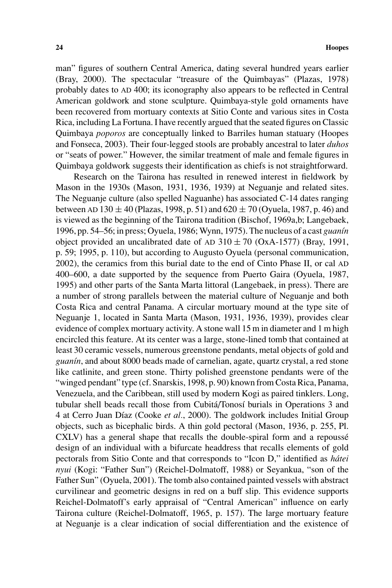man" figures of southern Central America, dating several hundred years earlier (Bray, 2000). The spectacular "treasure of the Quimbayas" (Plazas, 1978) probably dates to AD 400; its iconography also appears to be reflected in Central American goldwork and stone sculpture. Quimbaya-style gold ornaments have been recovered from mortuary contexts at Sitio Conte and various sites in Costa Rica, including La Fortuna. I have recently argued that the seated figures on Classic Quimbaya *poporos* are conceptually linked to Barriles human statuary (Hoopes and Fonseca, 2003). Their four-legged stools are probably ancestral to later *duhos* or "seats of power." However, the similar treatment of male and female figures in Quimbaya goldwork suggests their identification as chiefs is not straightforward.

Research on the Tairona has resulted in renewed interest in fieldwork by Mason in the 1930s (Mason, 1931, 1936, 1939) at Neguanje and related sites. The Neguanje culture (also spelled Naguanhe) has associated C-14 dates ranging between AD 130  $\pm$  40 (Plazas, 1998, p. 51) and 620  $\pm$  70 (Oyuela, 1987, p. 46) and is viewed as the beginning of the Tairona tradition (Bischof, 1969a,b; Langebaek, 1996, pp. 54–56; in press; Oyuela, 1986; Wynn, 1975). The nucleus of a cast *guan´ın* object provided an uncalibrated date of AD  $310 \pm 70$  (OxA-1577) (Bray, 1991, p. 59; 1995, p. 110), but according to Augusto Oyuela (personal communication, 2002), the ceramics from this burial date to the end of Cinto Phase II, or cal AD 400–600, a date supported by the sequence from Puerto Gaira (Oyuela, 1987, 1995) and other parts of the Santa Marta littoral (Langebaek, in press). There are a number of strong parallels between the material culture of Neguanje and both Costa Rica and central Panama. A circular mortuary mound at the type site of Neguanje 1, located in Santa Marta (Mason, 1931, 1936, 1939), provides clear evidence of complex mortuary activity. A stone wall 15 m in diameter and 1 m high encircled this feature. At its center was a large, stone-lined tomb that contained at least 30 ceramic vessels, numerous greenstone pendants, metal objects of gold and *guan´ın*, and about 8000 beads made of carnelian, agate, quartz crystal, a red stone like catlinite, and green stone. Thirty polished greenstone pendants were of the "winged pendant" type (cf. Snarskis, 1998, p. 90) known from Costa Rica, Panama, Venezuela, and the Caribbean, still used by modern Kogi as paired tinklers. Long, tubular shell beads recall those from Cubitá/Tonosí burials in Operations 3 and 4 at Cerro Juan Díaz (Cooke et al., 2000). The goldwork includes Initial Group objects, such as bicephalic birds. A thin gold pectoral (Mason, 1936, p. 255, Pl. CXLV) has a general shape that recalls the double-spiral form and a repousse´ design of an individual with a bifurcate headdress that recalls elements of gold pectorals from Sitio Conte and that corresponds to "Icon D," identified as *hatei ´ nyui* (Kogi: "Father Sun") (Reichel-Dolmatoff, 1988) or Seyankua, "son of the Father Sun" (Oyuela, 2001). The tomb also contained painted vessels with abstract curvilinear and geometric designs in red on a buff slip. This evidence supports Reichel-Dolmatoff's early appraisal of "Central American" influence on early Tairona culture (Reichel-Dolmatoff, 1965, p. 157). The large mortuary feature at Neguanje is a clear indication of social differentiation and the existence of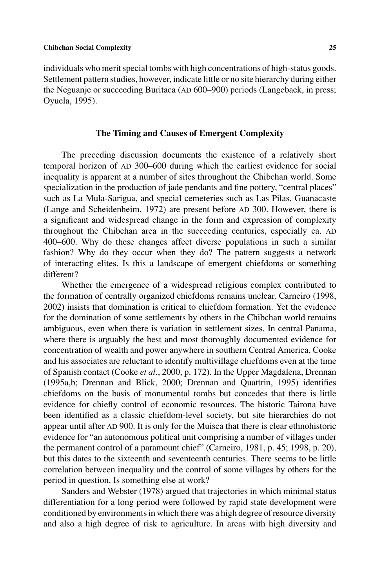individuals who merit special tombs with high concentrations of high-status goods. Settlement pattern studies, however, indicate little or no site hierarchy during either the Neguanje or succeeding Buritaca (AD 600–900) periods (Langebaek, in press; Oyuela, 1995).

# **The Timing and Causes of Emergent Complexity**

The preceding discussion documents the existence of a relatively short temporal horizon of AD 300–600 during which the earliest evidence for social inequality is apparent at a number of sites throughout the Chibchan world. Some specialization in the production of jade pendants and fine pottery, "central places" such as La Mula-Sarigua, and special cemeteries such as Las Pilas, Guanacaste (Lange and Scheidenheim, 1972) are present before AD 300. However, there is a significant and widespread change in the form and expression of complexity throughout the Chibchan area in the succeeding centuries, especially ca. AD 400–600. Why do these changes affect diverse populations in such a similar fashion? Why do they occur when they do? The pattern suggests a network of interacting elites. Is this a landscape of emergent chiefdoms or something different?

Whether the emergence of a widespread religious complex contributed to the formation of centrally organized chiefdoms remains unclear. Carneiro (1998, 2002) insists that domination is critical to chiefdom formation. Yet the evidence for the domination of some settlements by others in the Chibchan world remains ambiguous, even when there is variation in settlement sizes. In central Panama, where there is arguably the best and most thoroughly documented evidence for concentration of wealth and power anywhere in southern Central America, Cooke and his associates are reluctant to identify multivillage chiefdoms even at the time of Spanish contact (Cooke *et al.*, 2000, p. 172). In the Upper Magdalena, Drennan (1995a,b; Drennan and Blick, 2000; Drennan and Quattrin, 1995) identifies chiefdoms on the basis of monumental tombs but concedes that there is little evidence for chiefly control of economic resources. The historic Tairona have been identified as a classic chiefdom-level society, but site hierarchies do not appear until after AD 900. It is only for the Muisca that there is clear ethnohistoric evidence for "an autonomous political unit comprising a number of villages under the permanent control of a paramount chief" (Carneiro, 1981, p. 45; 1998, p. 20), but this dates to the sixteenth and seventeenth centuries. There seems to be little correlation between inequality and the control of some villages by others for the period in question. Is something else at work?

Sanders and Webster (1978) argued that trajectories in which minimal status differentiation for a long period were followed by rapid state development were conditioned by environments in which there was a high degree of resource diversity and also a high degree of risk to agriculture. In areas with high diversity and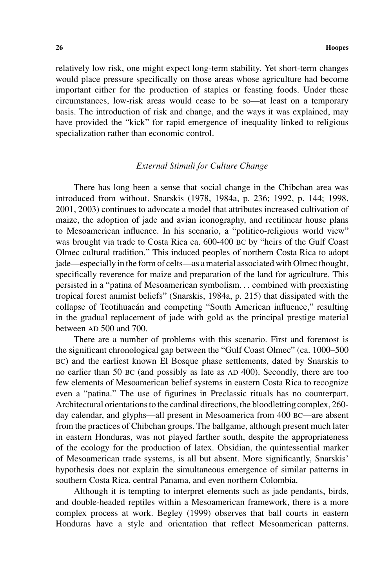relatively low risk, one might expect long-term stability. Yet short-term changes would place pressure specifically on those areas whose agriculture had become important either for the production of staples or feasting foods. Under these circumstances, low-risk areas would cease to be so—at least on a temporary basis. The introduction of risk and change, and the ways it was explained, may have provided the "kick" for rapid emergence of inequality linked to religious specialization rather than economic control.

# *External Stimuli for Culture Change*

There has long been a sense that social change in the Chibchan area was introduced from without. Snarskis (1978, 1984a, p. 236; 1992, p. 144; 1998, 2001, 2003) continues to advocate a model that attributes increased cultivation of maize, the adoption of jade and avian iconography, and rectilinear house plans to Mesoamerican influence. In his scenario, a "politico-religious world view" was brought via trade to Costa Rica ca. 600-400 BC by "heirs of the Gulf Coast Olmec cultural tradition." This induced peoples of northern Costa Rica to adopt jade—especially in the form of celts—as a material associated with Olmec thought, specifically reverence for maize and preparation of the land for agriculture. This persisted in a "patina of Mesoamerican symbolism*...* combined with preexisting tropical forest animist beliefs" (Snarskis, 1984a, p. 215) that dissipated with the collapse of Teotihuacán and competing "South American influence," resulting in the gradual replacement of jade with gold as the principal prestige material between AD 500 and 700.

There are a number of problems with this scenario. First and foremost is the significant chronological gap between the "Gulf Coast Olmec" (ca. 1000–500 BC) and the earliest known El Bosque phase settlements, dated by Snarskis to no earlier than 50 BC (and possibly as late as AD 400). Secondly, there are too few elements of Mesoamerican belief systems in eastern Costa Rica to recognize even a "patina." The use of figurines in Preclassic rituals has no counterpart. Architectural orientations to the cardinal directions, the bloodletting complex, 260 day calendar, and glyphs—all present in Mesoamerica from 400 BC—are absent from the practices of Chibchan groups. The ballgame, although present much later in eastern Honduras, was not played farther south, despite the appropriateness of the ecology for the production of latex. Obsidian, the quintessential marker of Mesoamerican trade systems, is all but absent. More significantly, Snarskis' hypothesis does not explain the simultaneous emergence of similar patterns in southern Costa Rica, central Panama, and even northern Colombia.

Although it is tempting to interpret elements such as jade pendants, birds, and double-headed reptiles within a Mesoamerican framework, there is a more complex process at work. Begley (1999) observes that ball courts in eastern Honduras have a style and orientation that reflect Mesoamerican patterns.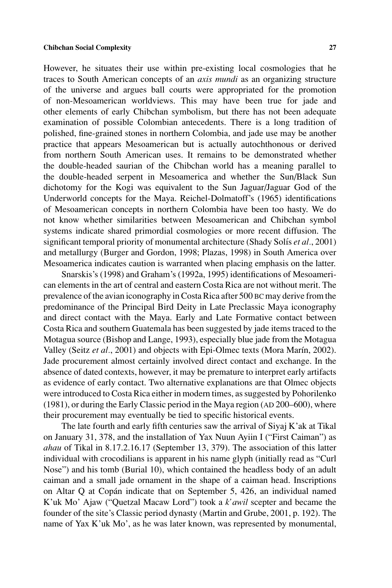However, he situates their use within pre-existing local cosmologies that he traces to South American concepts of an *axis mundi* as an organizing structure of the universe and argues ball courts were appropriated for the promotion of non-Mesoamerican worldviews. This may have been true for jade and other elements of early Chibchan symbolism, but there has not been adequate examination of possible Colombian antecedents. There is a long tradition of polished, fine-grained stones in northern Colombia, and jade use may be another practice that appears Mesoamerican but is actually autochthonous or derived from northern South American uses. It remains to be demonstrated whether the double-headed saurian of the Chibchan world has a meaning parallel to the double-headed serpent in Mesoamerica and whether the Sun/Black Sun dichotomy for the Kogi was equivalent to the Sun Jaguar/Jaguar God of the Underworld concepts for the Maya. Reichel-Dolmatoff's (1965) identifications of Mesoamerican concepts in northern Colombia have been too hasty. We do not know whether similarities between Mesoamerican and Chibchan symbol systems indicate shared primordial cosmologies or more recent diffusion. The significant temporal priority of monumental architecture (Shady Solís *et al.*, 2001) and metallurgy (Burger and Gordon, 1998; Plazas, 1998) in South America over Mesoamerica indicates caution is warranted when placing emphasis on the latter.

Snarskis's (1998) and Graham's (1992a, 1995) identifications of Mesoamerican elements in the art of central and eastern Costa Rica are not without merit. The prevalence of the avian iconography in Costa Rica after 500 BC may derive from the predominance of the Principal Bird Deity in Late Preclassic Maya iconography and direct contact with the Maya. Early and Late Formative contact between Costa Rica and southern Guatemala has been suggested by jade items traced to the Motagua source (Bishop and Lange, 1993), especially blue jade from the Motagua Valley (Seitz *et al.*, 2001) and objects with Epi-Olmec texts (Mora Marín, 2002). Jade procurement almost certainly involved direct contact and exchange. In the absence of dated contexts, however, it may be premature to interpret early artifacts as evidence of early contact. Two alternative explanations are that Olmec objects were introduced to Costa Rica either in modern times, as suggested by Pohorilenko (1981), or during the Early Classic period in the Maya region (AD 200–600), where their procurement may eventually be tied to specific historical events.

The late fourth and early fifth centuries saw the arrival of Siyaj K'ak at Tikal on January 31, 378, and the installation of Yax Nuun Ayiin I ("First Caiman") as *ahau* of Tikal in 8.17.2.16.17 (September 13, 379). The association of this latter individual with crocodilians is apparent in his name glyph (initially read as "Curl Nose") and his tomb (Burial 10), which contained the headless body of an adult caiman and a small jade ornament in the shape of a caiman head. Inscriptions on Altar Q at Copán indicate that on September 5, 426, an individual named K'uk Mo' Ajaw ("Quetzal Macaw Lord") took a *k'awil* scepter and became the founder of the site's Classic period dynasty (Martin and Grube, 2001, p. 192). The name of Yax K'uk Mo', as he was later known, was represented by monumental,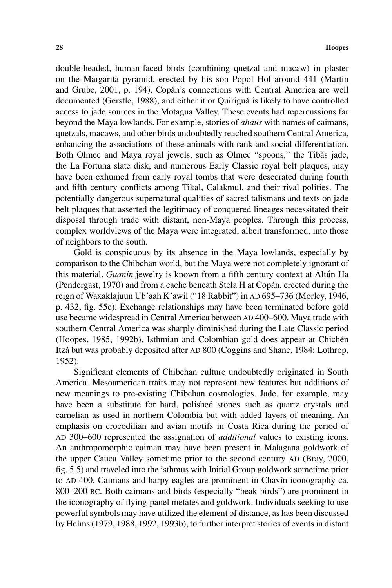double-headed, human-faced birds (combining quetzal and macaw) in plaster on the Margarita pyramid, erected by his son Popol Hol around 441 (Martin and Grube, 2001, p. 194). Copán's connections with Central America are well documented (Gerstle, 1988), and either it or Quiriguá is likely to have controlled access to jade sources in the Motagua Valley. These events had repercussions far beyond the Maya lowlands. For example, stories of *ahaus* with names of caimans, quetzals, macaws, and other birds undoubtedly reached southern Central America, enhancing the associations of these animals with rank and social differentiation. Both Olmec and Maya royal jewels, such as Olmec "spoons," the Tibás jade, the La Fortuna slate disk, and numerous Early Classic royal belt plaques, may have been exhumed from early royal tombs that were desecrated during fourth and fifth century conflicts among Tikal, Calakmul, and their rival polities. The potentially dangerous supernatural qualities of sacred talismans and texts on jade belt plaques that asserted the legitimacy of conquered lineages necessitated their disposal through trade with distant, non-Maya peoples. Through this process, complex worldviews of the Maya were integrated, albeit transformed, into those of neighbors to the south.

Gold is conspicuous by its absence in the Maya lowlands, especially by comparison to the Chibchan world, but the Maya were not completely ignorant of this material. *Guan´ın* jewelry is known from a fifth century context at Altun Ha ´ (Pendergast, 1970) and from a cache beneath Stela H at Copán, erected during the reign of Waxaklajuun Ub'aah K'awil ("18 Rabbit") in AD 695–736 (Morley, 1946, p. 432, fig. 55c). Exchange relationships may have been terminated before gold use became widespread in Central America between AD 400–600. Maya trade with southern Central America was sharply diminished during the Late Classic period (Hoopes, 1985, 1992b). Isthmian and Colombian gold does appear at Chichén Itzá but was probably deposited after AD 800 (Coggins and Shane, 1984; Lothrop, 1952).

Significant elements of Chibchan culture undoubtedly originated in South America. Mesoamerican traits may not represent new features but additions of new meanings to pre-existing Chibchan cosmologies. Jade, for example, may have been a substitute for hard, polished stones such as quartz crystals and carnelian as used in northern Colombia but with added layers of meaning. An emphasis on crocodilian and avian motifs in Costa Rica during the period of AD 300–600 represented the assignation of *additional* values to existing icons. An anthropomorphic caiman may have been present in Malagana goldwork of the upper Cauca Valley sometime prior to the second century AD (Bray, 2000, fig. 5.5) and traveled into the isthmus with Initial Group goldwork sometime prior to AD 400. Caimans and harpy eagles are prominent in Chavín iconography ca. 800–200 BC. Both caimans and birds (especially "beak birds") are prominent in the iconography of flying-panel metates and goldwork. Individuals seeking to use powerful symbols may have utilized the element of distance, as has been discussed by Helms (1979, 1988, 1992, 1993b), to further interpret stories of events in distant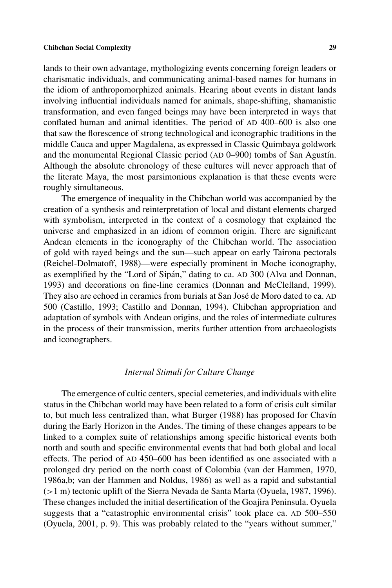lands to their own advantage, mythologizing events concerning foreign leaders or charismatic individuals, and communicating animal-based names for humans in the idiom of anthropomorphized animals. Hearing about events in distant lands involving influential individuals named for animals, shape-shifting, shamanistic transformation, and even fanged beings may have been interpreted in ways that conflated human and animal identities. The period of AD 400–600 is also one that saw the florescence of strong technological and iconographic traditions in the middle Cauca and upper Magdalena, as expressed in Classic Quimbaya goldwork and the monumental Regional Classic period (AD 0-900) tombs of San Agustín. Although the absolute chronology of these cultures will never approach that of the literate Maya, the most parsimonious explanation is that these events were roughly simultaneous.

The emergence of inequality in the Chibchan world was accompanied by the creation of a synthesis and reinterpretation of local and distant elements charged with symbolism, interpreted in the context of a cosmology that explained the universe and emphasized in an idiom of common origin. There are significant Andean elements in the iconography of the Chibchan world. The association of gold with rayed beings and the sun—such appear on early Tairona pectorals (Reichel-Dolmatoff, 1988)—were especially prominent in Moche iconography, as exemplified by the "Lord of Sipán," dating to ca. AD 300 (Alva and Donnan, 1993) and decorations on fine-line ceramics (Donnan and McClelland, 1999). They also are echoed in ceramics from burials at San José de Moro dated to ca. AD 500 (Castillo, 1993; Castillo and Donnan, 1994). Chibchan appropriation and adaptation of symbols with Andean origins, and the roles of intermediate cultures in the process of their transmission, merits further attention from archaeologists and iconographers.

# *Internal Stimuli for Culture Change*

The emergence of cultic centers, special cemeteries, and individuals with elite status in the Chibchan world may have been related to a form of crisis cult similar to, but much less centralized than, what Burger (1988) has proposed for Chavín during the Early Horizon in the Andes. The timing of these changes appears to be linked to a complex suite of relationships among specific historical events both north and south and specific environmental events that had both global and local effects. The period of AD 450–600 has been identified as one associated with a prolonged dry period on the north coast of Colombia (van der Hammen, 1970, 1986a,b; van der Hammen and Noldus, 1986) as well as a rapid and substantial (*>*1 m) tectonic uplift of the Sierra Nevada de Santa Marta (Oyuela, 1987, 1996). These changes included the initial desertification of the Goajira Peninsula. Oyuela suggests that a "catastrophic environmental crisis" took place ca. AD 500–550 (Oyuela, 2001, p. 9). This was probably related to the "years without summer,"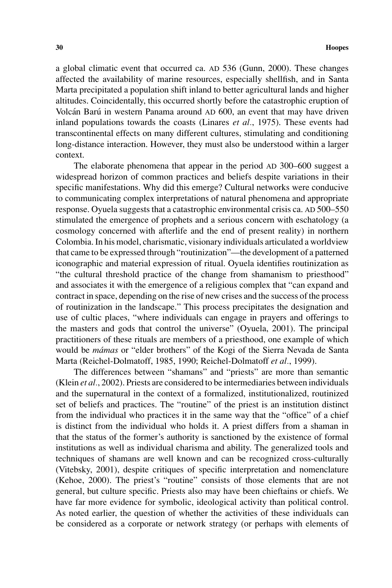a global climatic event that occurred ca. AD 536 (Gunn, 2000). These changes affected the availability of marine resources, especially shellfish, and in Santa Marta precipitated a population shift inland to better agricultural lands and higher altitudes. Coincidentally, this occurred shortly before the catastrophic eruption of Volcán Barú in western Panama around AD 600, an event that may have driven inland populations towards the coasts (Linares *et al.*, 1975). These events had transcontinental effects on many different cultures, stimulating and conditioning long-distance interaction. However, they must also be understood within a larger context.

The elaborate phenomena that appear in the period AD 300–600 suggest a widespread horizon of common practices and beliefs despite variations in their specific manifestations. Why did this emerge? Cultural networks were conducive to communicating complex interpretations of natural phenomena and appropriate response. Oyuela suggests that a catastrophic environmental crisis ca. AD 500–550 stimulated the emergence of prophets and a serious concern with eschatology (a cosmology concerned with afterlife and the end of present reality) in northern Colombia. In his model, charismatic, visionary individuals articulated a worldview that came to be expressed through "routinization"—the development of a patterned iconographic and material expression of ritual. Oyuela identifies routinization as "the cultural threshold practice of the change from shamanism to priesthood" and associates it with the emergence of a religious complex that "can expand and contract in space, depending on the rise of new crises and the success of the process of routinization in the landscape." This process precipitates the designation and use of cultic places, "where individuals can engage in prayers and offerings to the masters and gods that control the universe" (Oyuela, 2001). The principal practitioners of these rituals are members of a priesthood, one example of which would be *mamas* or "elder brothers" of the Kogi of the Sierra Nevada de Santa Marta (Reichel-Dolmatoff, 1985, 1990; Reichel-Dolmatoff *et al.*, 1999).

The differences between "shamans" and "priests" are more than semantic (Klein *et al.*, 2002). Priests are considered to be intermediaries between individuals and the supernatural in the context of a formalized, institutionalized, routinized set of beliefs and practices. The "routine" of the priest is an institution distinct from the individual who practices it in the same way that the "office" of a chief is distinct from the individual who holds it. A priest differs from a shaman in that the status of the former's authority is sanctioned by the existence of formal institutions as well as individual charisma and ability. The generalized tools and techniques of shamans are well known and can be recognized cross-culturally (Vitebsky, 2001), despite critiques of specific interpretation and nomenclature (Kehoe, 2000). The priest's "routine" consists of those elements that are not general, but culture specific. Priests also may have been chieftains or chiefs. We have far more evidence for symbolic, ideological activity than political control. As noted earlier, the question of whether the activities of these individuals can be considered as a corporate or network strategy (or perhaps with elements of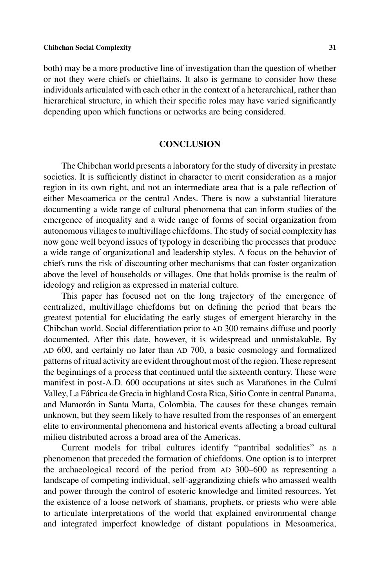both) may be a more productive line of investigation than the question of whether or not they were chiefs or chieftains. It also is germane to consider how these individuals articulated with each other in the context of a heterarchical, rather than hierarchical structure, in which their specific roles may have varied significantly depending upon which functions or networks are being considered.

# **CONCLUSION**

The Chibchan world presents a laboratory for the study of diversity in prestate societies. It is sufficiently distinct in character to merit consideration as a major region in its own right, and not an intermediate area that is a pale reflection of either Mesoamerica or the central Andes. There is now a substantial literature documenting a wide range of cultural phenomena that can inform studies of the emergence of inequality and a wide range of forms of social organization from autonomous villages to multivillage chiefdoms. The study of social complexity has now gone well beyond issues of typology in describing the processes that produce a wide range of organizational and leadership styles. A focus on the behavior of chiefs runs the risk of discounting other mechanisms that can foster organization above the level of households or villages. One that holds promise is the realm of ideology and religion as expressed in material culture.

This paper has focused not on the long trajectory of the emergence of centralized, multivillage chiefdoms but on defining the period that bears the greatest potential for elucidating the early stages of emergent hierarchy in the Chibchan world. Social differentiation prior to AD 300 remains diffuse and poorly documented. After this date, however, it is widespread and unmistakable. By AD 600, and certainly no later than AD 700, a basic cosmology and formalized patterns of ritual activity are evident throughout most of the region. These represent the beginnings of a process that continued until the sixteenth century. These were manifest in post-A.D. 600 occupations at sites such as Marañones in the Culmí Valley, La Fábrica de Grecia in highland Costa Rica, Sitio Conte in central Panama, and Mamorón in Santa Marta, Colombia. The causes for these changes remain unknown, but they seem likely to have resulted from the responses of an emergent elite to environmental phenomena and historical events affecting a broad cultural milieu distributed across a broad area of the Americas.

Current models for tribal cultures identify "pantribal sodalities" as a phenomenon that preceded the formation of chiefdoms. One option is to interpret the archaeological record of the period from AD 300–600 as representing a landscape of competing individual, self-aggrandizing chiefs who amassed wealth and power through the control of esoteric knowledge and limited resources. Yet the existence of a loose network of shamans, prophets, or priests who were able to articulate interpretations of the world that explained environmental change and integrated imperfect knowledge of distant populations in Mesoamerica,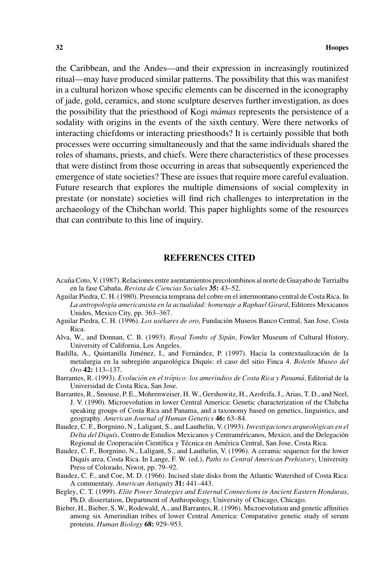the Caribbean, and the Andes—and their expression in increasingly routinized ritual—may have produced similar patterns. The possibility that this was manifest in a cultural horizon whose specific elements can be discerned in the iconography of jade, gold, ceramics, and stone sculpture deserves further investigation, as does the possibility that the priesthood of Kogi *mámas* represents the persistence of a sodality with origins in the events of the sixth century. Were there networks of interacting chiefdoms or interacting priesthoods? It is certainly possible that both processes were occurring simultaneously and that the same individuals shared the roles of shamans, priests, and chiefs. Were there characteristics of these processes that were distinct from those occurring in areas that subsequently experienced the emergence of state societies? These are issues that require more careful evaluation. Future research that explores the multiple dimensions of social complexity in prestate (or nonstate) societies will find rich challenges to interpretation in the archaeology of the Chibchan world. This paper highlights some of the resources that can contribute to this line of inquiry.

# **REFERENCES CITED**

- Acuna Coto, V. (1987). Relaciones entre asentamientos precolombinos al norte de Guayabo de Turrialba ˜ en la fase Cabana. ˜ *Revista de Ciencias Sociales* **35:** 43–52.
- Aguilar Piedra, C. H. (1980). Presencia temprana del cobre en el intermontano central de Costa Rica. In *La antropolog´ıa americanista en la actualidad: homenaje a Raphael Girard*, Editores Mexicanos Unidos, Mexico City, pp. 363–367.
- Aguilar Piedra, C. H. (1996). *Los usekares de oro ´* , Fundacion Museos Banco Central, San Jose, Costa ´ Rica.
- Alva, W., and Donnan, C. B. (1993). *Royal Tombs of Sipán*, Fowler Museum of Cultural History, University of California, Los Angeles.
- Badilla, A., Quintanilla Jiménez, I., and Fernández, P. (1997). Hacia la contextualización de la metalurgia en la subregión arqueológica Diquís: el caso del sitio Finca 4. Boletín Museo del *Oro* **42:** 113–137.
- Barrantes, R. (1993). *Evolucion en el tr ´ opico: los amerindios de Costa Rica y Panam ´ a´*, Editorial de la Universidad de Costa Rica, San Jose.
- Barrantes, R., Smouse, P. E., Mohrenweiser, H. W., Gershowitz, H., Azofeifa, J., Arias, T. D., and Neel, J. V. (1990). Microevolution in lower Central America: Genetic characterization of the Chibcha speaking groups of Costa Rica and Panama, and a taxonomy based on genetics, linguistics, and geography. *American Journal of Human Genetics* **46:** 63–84.
- Baudez, C. F., Borgnino, N., Laligant, S., and Lauthelin, V. (1993). *Investigaciones arqueologicas en el ´ Delta del Diquís*, Centro de Estudios Mexicanos y Centraméricanos, Mexico, and the Delegación Regional de Cooperación Científica y Técnica en América Central, San Jose, Costa Rica.
- Baudez, C. F., Borgnino, N., Laligant, S., and Lauthelin, V. (1996). A ceramic sequence for the lower Diquís area, Costa Rica. In Lange, F. W. (ed.), *Paths to Central American Prehistory*, University Press of Colorado, Niwot, pp. 79–92.
- Baudez, C. F., and Coe, M. D. (1966). Incised slate disks from the Atlantic Watershed of Costa Rica: A commentary. *American Antiquity* **31:** 441–443.
- Begley, C. T. (1999). *Elite Power Strategies and External Connections in Ancient Eastern Honduras*, Ph.D. dissertation, Department of Anthropology, University of Chicago, Chicago.
- Bieber, H., Bieber, S. W., Rodewald, A., and Barrantes, R. (1996). Microevolution and genetic affinities among six Amerindian tribes of lower Central America: Comparative genetic study of serum proteins. *Human Biology* **68:** 929–953.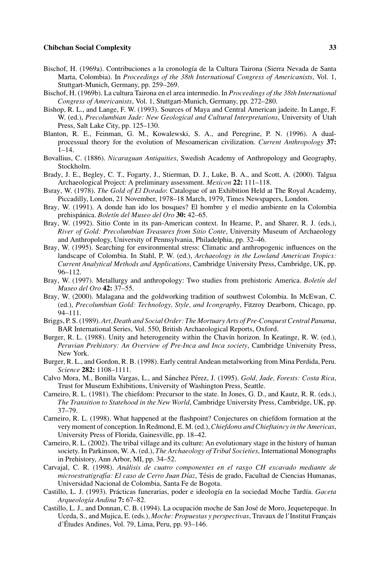- Bischof, H. (1969a). Contribuciones a la cronología de la Cultura Tairona (Sierra Nevada de Santa Marta, Colombia). In *Proceedings of the 38th International Congress of Americanists*, Vol. 1, Stuttgart-Munich, Germany, pp. 259–269.
- Bischof, H. (1969b). La cultura Tairona en el area intermedio. In *Proceedings of the 38th International Congress of Americanists*, Vol. 1, Stuttgart-Munich, Germany, pp. 272–280.
- Bishop, R. L., and Lange, F. W. (1993). Sources of Maya and Central American jadeite. In Lange, F. W. (ed.), *Precolumbian Jade: New Geological and Cultural Interpretations*, University of Utah Press, Salt Lake City, pp. 125–130.
- Blanton, R. E., Feinman, G. M., Kowalewski, S. A., and Peregrine, P. N. (1996). A dualprocessual theory for the evolution of Mesoamerican civilization. *Current Anthropology* **37:** 1–14.
- Bovallius, C. (1886). *Nicaraguan Antiquities*, Swedish Academy of Anthropology and Geography, Stockholm.
- Brady, J. E., Begley, C. T., Fogarty, J., Stierman, D. J., Luke, B. A., and Scott, A. (2000). Talgua Archaeological Project: A preliminary assessment. *Mexicon* **22:** 111–118.
- Bsray, W. (1978). *The Gold of El Dorado*: Catalogue of an Exhibition Held at The Royal Academy, Piccadilly, London, 21 November, 1978–18 March, 1979, Times Newspapers, London.
- Bray, W. (1991). A donde han ido los bosques? El hombre y el medio ambiente en la Colombia prehispánica. Boletín del Museo del Oro 30: 42–65.
- Bray, W. (1992). Sitio Conte in its pan-American context. In Hearne, P., and Sharer, R. J. (eds.), *River of Gold: Precolumbian Treasures from Sitio Conte*, University Museum of Archaeology and Anthropology, University of Pennsylvania, Philadelphia, pp. 32–46.
- Bray, W. (1995). Searching for environmental stress: Climatic and anthropogenic influences on the landscape of Colombia. In Stahl, P. W. (ed.), *Archaeology in the Lowland American Tropics: Current Analytical Methods and Applications*, Cambridge University Press, Cambridge, UK, pp. 96–112.
- Bray, W. (1997). Metallurgy and anthropology: Two studies from prehistoric America. *Boletín del Museo del Oro* **42:** 37–55.
- Bray, W. (2000). Malagana and the goldworking tradition of southwest Colombia. In McEwan, C. (ed.), *Precolumbian Gold: Technology, Style, and Icongraphy*, Fitzroy Dearborn, Chicago, pp. 94–111.
- Briggs, P. S. (1989). *Art, Death and Social Order: The Mortuary Arts of Pre-Conquest Central Panama*, BAR International Series, Vol. 550, British Archaeological Reports, Oxford.
- Burger, R. L. (1988). Unity and heterogeneity within the Chavín horizon. In Keatinge, R. W. (ed.), *Peruvian Prehistory: An Overview of Pre-Inca and Inca society*, Cambridge University Press, New York.
- Burger, R. L., and Gordon, R. B. (1998). Early central Andean metalworking from Mina Perdida, Peru. *Science* **282:** 1108–1111.
- Calvo Mora, M., Bonilla Vargas, L., and Sánchez Pérez, J. (1995). Gold, Jade, Forests: Costa Rica, Trust for Museum Exhibitions, University of Washington Press, Seattle.
- Carneiro, R. L. (1981). The chiefdom: Precursor to the state. In Jones, G. D., and Kautz, R. R. (eds.), *The Transition to Statehood in the New World*, Cambridge University Press, Cambridge, UK, pp. 37–79.
- Carneiro, R. L. (1998). What happened at the flashpoint? Conjectures on chiefdom formation at the very moment of conception. In Redmond, E. M. (ed.), *Chiefdoms and Chieftaincy in the Americas*, University Press of Florida, Gainesville, pp. 18–42.
- Carneiro, R. L. (2002). The tribal village and its culture: An evolutionary stage in the history of human society. In Parkinson, W. A. (ed.), *The Archaeology of Tribal Societies*, International Monographs in Prehistory, Ann Arbor, MI, pp. 34–52.
- Carvajal, C. R. (1998). *Analisis de cuatro componentes en el rasgo CH excavado mediante de ´ microestratigraf´ıa: El caso de Cerro Juan D´ıaz*, Tesis de grado, Facultad de Ciencias Humanas, ´ Universidad Nacional de Colombia, Santa Fe de Bogota.
- Castillo, L. J. (1993). Prácticas funerarias, poder e ideología en la sociedad Moche Tardía. *Gaceta Arqueolog´ıa Andina* **7:** 67–82.
- Castillo, L. J., and Donnan, C. B. (1994). La ocupación moche de San José de Moro, Jequetepeque. In Uceda, S., and Mujica, E. (eds.), *Moche: Propuestas y perspectivas*, Travaux de l'Institut Français d'Etudes Andines, Vol. 79, Lima, Peru, pp. 93–146. ´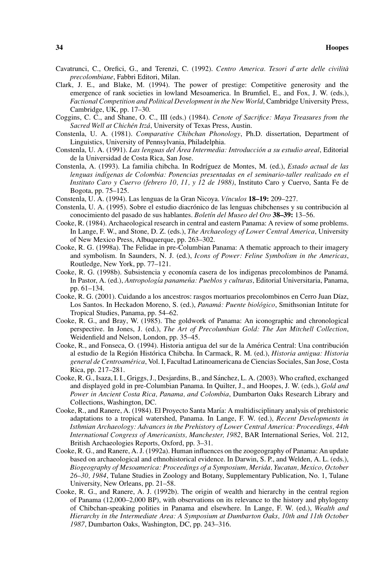- Cavatrunci, C., Orefici, G., and Terenzi, C. (1992). *Centro America. Tesori d'arte delle civilita` precolombiane*, Fabbri Editori, Milan.
- Clark, J. E., and Blake, M. (1994). The power of prestige: Competitive generosity and the emergence of rank societies in lowland Mesoamerica. In Brumfiel, E., and Fox, J. W. (eds.), *Factional Competition and Political Development in the New World*, Cambridge University Press, Cambridge, UK, pp. 17–30.
- Coggins, C. C., and Shane, O. C., III (eds.) (1984). *Cenote of Sacrifice: Maya Treasures from the* Sacred Well at Chichén Itzá, University of Texas Press, Austin.
- Constenla, U. A. (1981). *Comparative Chibchan Phonology*, Ph.D. dissertation, Department of Linguistics, University of Pennsylvania, Philadelphia.
- Constenla, U. A. (1991). *Las lenguas del Area Intermedia: Introducci ´ on a su estudio areal ´* , Editorial de la Universidad de Costa Rica, San Jose.
- Constenla, A. (1993). La familia chibcha. In Rodríguez de Montes, M. (ed.), *Estado actual de las lenguas ind´ıgenas de Colombia: Ponencias presentadas en el seminario-taller realizado en el Instituto Caro y Cuervo (febrero 10, 11, y 12 de 1988)*, Instituto Caro y Cuervo, Santa Fe de Bogota, pp. 75–125.
- Constenla, U. A. (1994). Las lenguas de la Gran Nicoya. *V´ınculos* **18–19:** 209–227.
- Constenla, U. A. (1995). Sobre el estudio diacrónico de las lenguas chibchenses y su contribución al conocimiento del pasado de sus hablantes. *Bolet´ın del Museo del Oro* **38–39:** 13–56.
- Cooke, R. (1984). Archaeological research in central and eastern Panama: A review of some problems. In Lange, F. W., and Stone, D. Z. (eds.), *The Archaeology of Lower Central America*, University of New Mexico Press, Albuquerque, pp. 263–302.
- Cooke, R. G. (1998a). The Felidae in pre-Columbian Panama: A thematic approach to their imagery and symbolism. In Saunders, N. J. (ed.), *Icons of Power: Feline Symbolism in the Americas*, Routledge, New York, pp. 77–121.
- Cooke, R. G. (1998b). Subsistencia y economía casera de los indigenas precolombinos de Panamá. In Pastor, A. (ed.), *Antropología panameña: Pueblos y culturas*, Editorial Universitaria, Panama, pp. 61–134.
- Cooke, R. G. (2001). Cuidando a los ancestros: rasgos mortuarios precolombinos en Cerro Juan Díaz, Los Santos. In Heckadon Moreno, S. (ed.), *Panama: Puente biol ´ ogico ´* , Smithsonian Intitute for Tropical Studies, Panama, pp. 54–62.
- Cooke, R. G., and Bray, W. (1985). The goldwork of Panama: An iconographic and chronological perspective. In Jones, J. (ed.), *The Art of Precolumbian Gold: The Jan Mitchell Collection*, Weidenfield and Nelson, London, pp. 35–45.
- Cooke, R., and Fonseca, O. (1994). Historia antigua del sur de la América Central: Una contribución al estudio de la Región Histórica Chibcha. In Carmack, R. M. (ed.), *Historia antigua: Historia general de Centroamerica ´* , Vol. I, Facultad Latinoamericana de Ciencias Sociales, San Jose, Costa Rica, pp. 217–281.
- Cooke, R. G., Isaza, I. I., Griggs, J., Desjardins, B., and Sánchez, L. A. (2003). Who crafted, exchanged and displayed gold in pre-Columbian Panama. In Quilter, J., and Hoopes, J. W. (eds.), *Gold and Power in Ancient Costa Rica, Panama, and Colombia*, Dumbarton Oaks Research Library and Collections, Washington, DC.
- Cooke, R., and Ranere, A. (1984). El Proyecto Santa Mar´ıa: A multidisciplinary analysis of prehistoric adaptations to a tropical watershed, Panama. In Lange, F. W. (ed.), *Recent Developments in Isthmian Archaeology: Advances in the Prehistory of Lower Central America: Proceedings, 44th International Congress of Americanists, Manchester, 1982*, BAR International Series, Vol. 212, British Archaeologies Reports, Oxford, pp. 3–31.
- Cooke, R. G., and Ranere, A. J. (1992a). Human influences on the zoogeography of Panama: An update based on archaeological and ethnohistorical evidence. In Darwin, S. P., and Welden, A. L. (eds.), *Biogeography of Mesoamerica: Proceedings of a Symposium, Merida, Yucatan, Mexico, October 26–30, 1984*, Tulane Studies in Zoology and Botany, Supplementary Publication, No. 1, Tulane University, New Orleans, pp. 21–58.
- Cooke, R. G., and Ranere, A. J. (1992b). The origin of wealth and hierarchy in the central region of Panama (12,000–2,000 BP), with observations on its relevance to the history and phylogeny of Chibchan-speaking polities in Panama and elsewhere. In Lange, F. W. (ed.), *Wealth and Hierarchy in the Intermediate Area: A Symposium at Dumbarton Oaks, 10th and 11th October 1987*, Dumbarton Oaks, Washington, DC, pp. 243–316.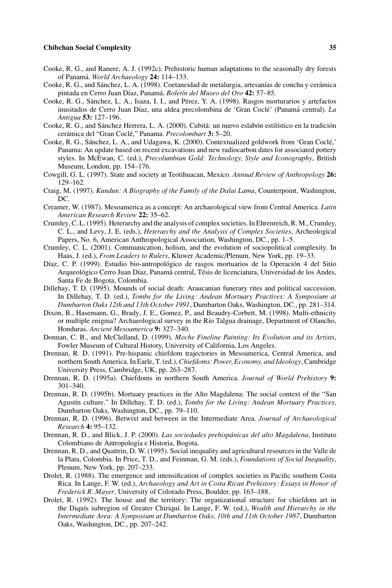- Cooke, R. G., and Ranere, A. J. (1992c). Prehistoric human adaptations to the seasonally dry forests of Panama.´ *World Archaeology* **24:** 114–133.
- Cooke, R. G., and Sánchez, L. A. (1998). Coetaneidad de metalurgia, artesanías de concha y cerámica pintada en Cerro Juan Díaz, Panamá. Boletín del Museo del Oro 42: 57–85.
- Cooke, R. G., Sánchez, L. A., Isaza, I. I., and Pérez, Y. A. (1998). Rasgos morturarios y artefactos inusitados de Cerro Juan Díaz, una aldea precolombina de 'Gran Coclé' (Panamá central). La *Antigua* **53:** 127–196.
- Cooke, R. G., and Sánchez Herrera, L. A. (2000). Cubitá: un nuevo eslabón estilístico en la tradición cerámica del "Gran Coclé," Panama. Precolombart 3: 5–20.
- Cooke, R. G., Sánchez, L. A., and Udagawa, K. (2000). Contextualized goldwork from 'Gran Coclé,' Panama: An update based on recent excavations and new radiocarbon dates for associated pottery styles. In McEwan, C. (ed.), *Precolumbian Gold: Technology, Style and Iconography*, British Museum, London, pp. 154–176.
- Cowgill, G. L. (1997). State and society at Teotihuacan, Mexico. *Annual Review of Anthropology* **26:** 129–162.
- Craig, M. (1997). *Kundun: A Biography of the Family of the Dalai Lama*, Counterpoint, Washington, DC.
- Creamer, W. (1987). Mesoamerica as a concept: An archaeological view from Central America. *Latin American Research Review* **22:** 35–62.
- Crumley, C. L. (1995). Heterarchy and the analysis of complex societies. In Ehrenreich, R. M., Crumley, C. L., and Levy, J. E. (eds.), *Heterarchy and the Analysis of Complex Societies*, Archeological Papers, No. 6, American Anthropological Association, Washington, DC., pp. 1–5.
- Crumley, C. L. (2001). Communication, holism, and the evolution of sociopolitical complexity. In Haas, J. (ed.), *From Leaders to Rulers*, Kluwer Academic/Plenum, New York, pp. 19–33.
- Díaz, C. P. (1999). Estudio bio-antropológico de rasgos mortuarios de la Operación 4 del Sitio Arqueológico Cerro Juan Díaz, Panamá central, Tésis de licenciatura, Universidad de los Andes, Santa Fe de Bogota, Colombia.
- Dillehay, T. D. (1995). Mounds of social death: Araucanian funerary rites and political succession. In Dillehay, T. D. (ed.), *Tombs for the Living: Andean Mortuary Practives: A Symposium at Dumbarton Oaks 12th and 13th October 1991*, Dumbarton Oaks, Washington, DC., pp. 281–314.
- Dixon, B., Hasemann, G., Brady, J. E., Gomez, P., and Beaudry-Corbett, M. (1998). Multi-ethnicity or multiple enigma? Archaeological survey in the Río Talgua drainage, Department of Olancho, Honduras. *Ancient Mesoamerica* **9:** 327–340.
- Donnan, C. B., and McClelland, D. (1999). *Moche Fineline Painting: Its Evolution and its Artists*, Fowler Museum of Cultural History, University of California, Los Angeles.
- Drennan, R. D. (1991). Pre-hispanic chiefdom trajectories in Mesoamerica, Central America, and northern South America. In Earle, T. (ed.), *Chiefdoms: Power, Economy, and Ideology*, Cambridge University Press, Cambridge, UK, pp. 263–287.
- Drennan, R. D. (1995a). Chiefdoms in northern South America. *Journal of World Prehistory* **9:** 301–340.
- Drennan, R. D. (1995b). Mortuary practices in the Alto Magdalena: The social context of the "San Agustín culture." In Dillehay, T. D. (ed.), *Tombs for the Living: Andean Mortuary Practices*, Dumbarton Oaks, Washington, DC., pp. 79–110.
- Drennan, R. D. (1996). Betwixt and between in the Intermediate Area. *Journal of Archaeological Research* **4:** 95–132.
- Drennan, R. D., and Blick, J. P. (2000). *Las sociedades prehispanicas del alto Magdalena ´* , Instituto Colombiano de Antropología e Historia, Bogota.
- Drennan, R. D., and Quattrin, D. W. (1995). Social inequality and agricultural resources in the Valle de la Plata, Colombia. In Price, T. D., and Feinman, G. M. (eds.), *Foundations of Social Inequality*, Plenum, New York, pp. 207–233.
- Drolet, R. (1988). The emergence and intensification of complex societies in Pacific southern Costa Rica. In Lange, F. W. (ed.), *Archaeology and Art in Costa Rican Prehistory: Essays in Honor of Frederick R. Mayer*, University of Colorado Press, Boulder, pp. 163–188.
- Drolet, R. (1992). The house and the territory: The organizational structure for chiefdom art in the Diquís subregion of Greater Chiriquí. In Lange, F. W. (ed.), *Wealth and Hierarchy in the Intermediate Area: A Symposium at Dumbarton Oaks, 10th and 11th October 1987*, Dumbarton Oaks, Washington, DC., pp. 207–242.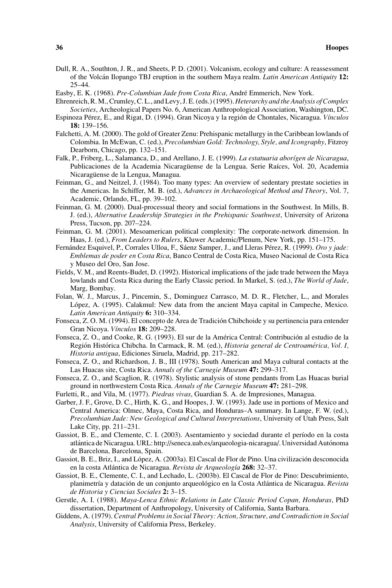- Dull, R. A., Southton, J. R., and Sheets, P. D. (2001). Volcanism, ecology and culture: A reassessment of the Volcán Ilopango TBJ eruption in the southern Maya realm. *Latin American Antiquity* 12: 25–44.
- Easby, E. K. (1968). *Pre-Columbian Jade from Costa Rica*, Andre Emmerich, New York. ´
- Ehrenreich, R. M., Crumley, C. L., and Levy, J. E. (eds.) (1995). *Heterarchy and the Analysis of Complex Societies*, Archeological Papers No. 6, American Anthropological Association, Washington, DC.
- Espinoza Pérez, E., and Rigat, D. (1994). Gran Nicoya y la región de Chontales, Nicaragua. *Vínculos* **18:** 139–156.
- Falchetti, A. M. (2000). The gold of Greater Zenu: Prehispanic metallurgy in the Caribbean lowlands of Colombia. In McEwan, C. (ed.), *Precolumbian Gold: Technology, Style, and Icongraphy*, Fitzroy Dearborn, Chicago, pp. 132–151.
- Falk, P., Friberg, L., Salamanca, D., and Arellano, J. E. (1999). *La estatuaria aborígen de Nicaragua*, Publicaciones de la Academia Nicaragüense de la Lengua. Serie Raíces, Vol. 20, Academia Nicaragüense de la Lengua, Managua.
- Feinman, G., and Neitzel, J. (1984). Too many types: An overview of sedentary prestate societies in the Americas. In Schiffer, M. B. (ed.), *Advances in Archaeological Method and Theory*, Vol. 7, Academic, Orlando, FL, pp. 39–102.
- Feinman, G. M. (2000). Dual-processual theory and social formations in the Southwest. In Mills, B. J. (ed.), *Alternative Leadership Strategies in the Prehispanic Southwest*, University of Arizona Press, Tucson, pp. 207–224.
- Feinman, G. M. (2001). Mesoamerican political complexity: The corporate-network dimension. In Haas, J. (ed.), *From Leaders to Rulers*, Kluwer Academic/Plenum, New York, pp. 151–175.
- Fernández Esquivel, P., Corrales Ulloa, F., Sáenz Samper, J., and Lleras Pérez, R. (1999). Oro y jade: *Emblemas de poder en Costa Rica*, Banco Central de Costa Rica, Museo Nacional de Costa Rica y Museo del Oro, San Jose.
- Fields, V. M., and Reents-Budet, D. (1992). Historical implications of the jade trade between the Maya lowlands and Costa Rica during the Early Classic period. In Markel, S. (ed.), *The World of Jade*, Marg, Bombay.
- Folan, W. J., Marcus, J., Pincemin, S., Dominguez Carrasco, M. D. R., Fletcher, L., and Morales López, A. (1995). Calakmul: New data from the ancient Maya capital in Campeche, Mexico. *Latin American Antiquity* **6:** 310–334.
- Fonseca, Z. O. M. (1994). El concepto de Area de Tradicion Chibchoide y su pertinencia para entender ´ Gran Nicoya. *V´ınculos* **18:** 209–228.
- Fonseca, Z. O., and Cooke, R. G. (1993). El sur de la América Central: Contribución al estudio de la Región Histórica Chibcha. In Carmack, R. M. (ed.), *Historia general de Centroamérica, Vol. I*, *Historia antigua*, Ediciones Siruela, Madrid, pp. 217–282.
- Fonseca, Z. O., and Richardson, J. B., III (1978). South American and Maya cultural contacts at the Las Huacas site, Costa Rica. *Annals of the Carnegie Museum* **47:** 299–317.
- Fonseca, Z. O., and Scaglion, R. (1978). Stylistic analysis of stone pendants from Las Huacas burial ground in northwestern Costa Rica. *Annals of the Carnegie Museum* **47:** 281–298.
- Furletti, R., and Vila, M. (1977). *Piedras vivas*, Guardian S. A. de Impresiones, Managua.
- Garber, J. F., Grove, D. C., Hirth, K. G., and Hoopes, J. W. (1993). Jade use in portions of Mexico and Central America: Olmec, Maya, Costa Rica, and Honduras–A summary. In Lange, F. W. (ed.), *Precolumbian Jade: New Geological and Cultural Interpretations*, University of Utah Press, Salt Lake City, pp. 211–231.
- Gassiot, B. E., and Clemente, C. I. (2003). Asentamiento y sociedad durante el período en la costa atlántica de Nicaragua. URL: http://seneca.uab.es/arqueologia-nicaragua/. Universidad Autónoma de Barcelona, Barcelona, Spain.
- Gassiot, B. E., Briz, I., and López, A. (2003a). El Cascal de Flor de Pino. Una civilización desconocida en la costa Atlantica de Nicaragua. ´ *Revista de Arqueolog´ıa* **268:** 32–37.
- Gassiot, B. E., Clemente, C. I., and Lechado, L. (2003b). El Cascal de Flor de Pino: Descubrimiento, planimetría y datación de un conjunto arqueológico en la Costa Atlántica de Nicaragua. Revista *de Historia y Ciencias Sociales* **2:** 3–15.
- Gerstle, A. I. (1988). *Maya-Lenca Ethnic Relations in Late Classic Period Copan, Honduras*, PhD dissertation, Department of Anthropology, University of California, Santa Barbara.
- Giddens, A. (1979). *Central Problems in Social Theory: Action, Structure, and Contradiction in Social Analysis*, University of California Press, Berkeley.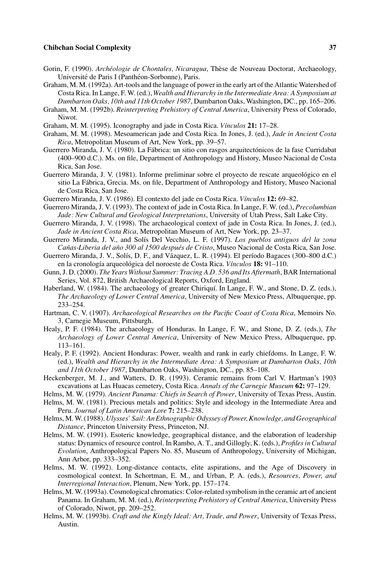- Gorin, F. (1990). *Archéologie de Chontales, Nicaragua*, Thèse de Nouveau Doctorat, Archaeology, Université de Paris I (Panthéon-Sorbonne), Paris.
- Graham, M. M. (1992a). Art-tools and the language of power in the early art of the Atlantic Watershed of Costa Rica. In Lange, F. W. (ed.), *Wealth and Hierarchy in the Intermediate Area: A Symposium at Dumbarton Oaks, 10th and 11th October 1987*, Dumbarton Oaks, Washington, DC., pp. 165–206.
- Graham, M. M. (1992b). *Reinterpreting Prehistory of Central America*, University Press of Colorado, Niwot.
- Graham, M. M. (1995). Iconography and jade in Costa Rica. *V´ınculos* **21:** 17–28.
- Graham, M. M. (1998). Mesoamerican jade and Costa Rica. In Jones, J. (ed.), *Jade in Ancient Costa Rica*, Metropolitan Museum of Art, New York, pp. 39–57.
- Guerrero Miranda, J. V. (1980). La Fábrica: un sitio con rasgos arquitectónicos de la fase Curridabat (400–900 d.C.). Ms. on file, Department of Anthropology and History, Museo Nacional de Costa Rica, San Jose.
- Guerrero Miranda, J. V. (1981). Informe preliminar sobre el proyecto de rescate arqueologico en el ´ sitio La Fábrica, Grecia. Ms. on file, Department of Anthropology and History, Museo Nacional de Costa Rica, San Jose.
- Guerrero Miranda, J. V. (1986). El contexto del jade en Costa Rica. *V´ınculos* **12:** 69–82.
- Guerrero Miranda, J. V. (1993). The context of jade in Costa Rica. In Lange, F. W. (ed.), *Precolumbian Jade: New Cultural and Geological Interpretations*, University of Utah Press, Salt Lake City.
- Guerrero Miranda, J. V. (1998). The archaeological context of jade in Costa Rica. In Jones, J. (ed.), *Jade in Ancient Costa Rica*, Metropolitan Museum of Art, New York, pp. 23–37.
- Guerrero Miranda, J. V., and Sol´ıs Del Vecchio, L. F. (1997). *Los pueblos antiguos del la zona Canas-Liberia del a ˜ no 300 al 1500 despu ˜ es de Cristo ´* , Museo Nacional de Costa Rica, San Jose.
- Guerrero Miranda, J. V., Solís, D. F., and Vázquez, L. R. (1994). El período Bagaces (300–800 d.C.) en la cronología arqueológica del noroeste de Costa Rica. Vínculos 18: 91-110.
- Gunn, J. D. (2000). *The Years Without Summer: Tracing A.D. 536 and Its Aftermath*, BAR International Series, Vol. 872, British Archaeological Reports, Oxford, England.
- Haberland, W. (1984). The archaeology of greater Chiriquí. In Lange, F. W., and Stone, D. Z. (eds.), *The Archaeology of Lower Central America*, University of New Mexico Press, Albuquerque, pp. 233–254.
- Hartman, C. V. (1907). *Archaeological Researches on the Pacific Coast of Costa Rica*, Memoirs No. 3, Carnegie Museum, Pittsburgh.
- Healy, P. F. (1984). The archaeology of Honduras. In Lange, F. W., and Stone, D. Z. (eds.), *The Archaeology of Lower Central America*, University of New Mexico Press, Albuquerque, pp. 113–161.
- Healy, P. F. (1992). Ancient Honduras: Power, wealth and rank in early chiefdoms. In Lange, F. W. (ed.), *Wealth and Hierarchy in the Intermediate Area: A Symposium at Dumbarton Oaks, 10th and 11th October 1987*, Dumbarton Oaks, Washington, DC., pp. 85–108.
- Heckenberger, M. J., and Watters, D. R. (1993). Ceramic remains from Carl V. Hartman's 1903 excavations at Las Huacas cemetery, Costa Rica. *Annals of the Carnegie Museum* **62:** 97–129.
- Helms, M. W. (1979). *Ancient Panama: Chiefs in Search of Power*, University of Texas Press, Austin.
- Helms, M. W. (1981). Precious metals and politics: Style and ideology in the Intermediate Area and Peru. *Journal of Latin American Lore* **7:** 215–238.
- Helms, M. W. (1988). *Ulysses' Sail: An Ethnographic Odyssey of Power, Knowledge, and Geographical Distance*, Princeton University Press, Princeton, NJ.
- Helms, M. W. (1991). Esoteric knowledge, geographical distance, and the elaboration of leadership status: Dynamics of resource control. In Rambo, A. T., and Gillogly, K. (eds.), *Profiles in Cultural Evolution*, Anthropological Papers No. 85, Museum of Anthropology, University of Michigan, Ann Arbor, pp. 333–352.
- Helms, M. W. (1992). Long-distance contacts, elite aspirations, and the Age of Discovery in cosmological context. In Schortman, E. M., and Urban, P. A. (eds.), *Resources, Power, and Interregional Interaction*, Plenum, New York, pp. 157–174.
- Helms, M. W. (1993a). Cosmological chromatics: Color-related symbolism in the ceramic art of ancient Panama. In Graham, M. M. (ed.), *Reinterpreting Prehistory of Central America*, University Press of Colorado, Niwot, pp. 209–252.
- Helms, M. W. (1993b). *Craft and the Kingly Ideal: Art, Trade, and Power*, University of Texas Press, Austin.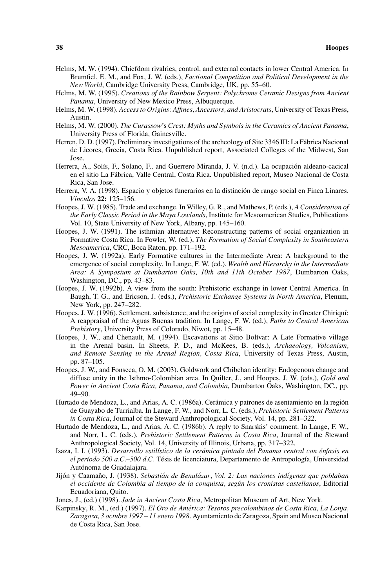- Helms, M. W. (1994). Chiefdom rivalries, control, and external contacts in lower Central America. In Brumfiel, E. M., and Fox, J. W. (eds.), *Factional Competition and Political Development in the New World*, Cambridge University Press, Cambridge, UK, pp. 55–60.
- Helms, M. W. (1995). *Creations of the Rainbow Serpent: Polychrome Ceramic Designs from Ancient Panama*, University of New Mexico Press, Albuquerque.
- Helms, M. W. (1998). *Access to Origins: Affines, Ancestors, and Aristocrats*, University of Texas Press, Austin.
- Helms, M. W. (2000). *The Curassow*'s *Crest: Myths and Symbols in the Ceramics of Ancient Panama*, University Press of Florida, Gainesville.
- Herren, D. D. (1997). Preliminary investigations of the archeology of Site 3346 III: La Fábrica Nacional de Licores, Grecia, Costa Rica. Unpublished report, Associated Colleges of the Midwest, San Jose.
- Herrera, A., Solís, F., Solano, F., and Guerrero Miranda, J. V. (n.d.). La ocupación aldeano-cacical en el sitio La Fabrica, Valle Central, Costa Rica. Unpublished report, Museo Nacional de Costa ´ Rica, San Jose.
- Herrera, V. A. (1998). Espacio y objetos funerarios en la distinción de rango social en Finca Linares. *V´ınculos* **22:** 125–156.
- Hoopes, J. W. (1985). Trade and exchange. In Willey, G. R., and Mathews, P. (eds.), *A Consideration of the Early Classic Period in the Maya Lowlands*, Institute for Mesoamerican Studies, Publications Vol. 10, State University of New York, Albany, pp. 145–160.
- Hoopes, J. W. (1991). The isthmian alternative: Reconstructing patterns of social organization in Formative Costa Rica. In Fowler, W. (ed.), *The Formation of Social Complexity in Southeastern Mesoamerica*, CRC, Boca Raton, pp. 171–192.
- Hoopes, J. W. (1992a). Early Formative cultures in the Intermediate Area: A background to the emergence of social complexity. In Lange, F. W. (ed.), *Wealth and Hierarchy in the Intermediate Area: A Symposium at Dumbarton Oaks, 10th and 11th October 1987*, Dumbarton Oaks, Washington, DC., pp. 43–83.
- Hoopes, J. W. (1992b). A view from the south: Prehistoric exchange in lower Central America. In Baugh, T. G., and Ericson, J. (eds.), *Prehistoric Exchange Systems in North America*, Plenum, New York, pp. 247–282.
- Hoopes, J. W. (1996). Settlement, subsistence, and the origins of social complexity in Greater Chiriquí: A reappraisal of the Aguas Buenas tradition. In Lange, F. W. (ed.), *Paths to Central American Prehistory*, University Press of Colorado, Niwot, pp. 15–48.
- Hoopes, J. W., and Chenault, M. (1994). Excavations at Sitio Bolívar: A Late Formative village in the Arenal basin. In Sheets, P. D., and McKees, B. (eds.), *Archaeology, Volcanism, and Remote Sensing in the Arenal Region, Costa Rica*, University of Texas Press, Austin, pp. 87–105.
- Hoopes, J. W., and Fonseca, O. M. (2003). Goldwork and Chibchan identity: Endogenous change and diffuse unity in the Isthmo-Colombian area. In Quilter, J., and Hoopes, J. W. (eds.), *Gold and Power in Ancient Costa Rica, Panama, and Colombia*, Dumbarton Oaks, Washington, DC., pp. 49–90.
- Hurtado de Mendoza, L., and Arias, A. C. (1986a). Cerámica y patrones de asentamiento en la región de Guayabo de Turrialba. In Lange, F. W., and Norr, L. C. (eds.), *Prehistoric Settlement Patterns in Costa Rica*, Journal of the Steward Anthropological Society, Vol. 14, pp. 281–322.
- Hurtado de Mendoza, L., and Arias, A. C. (1986b). A reply to Snarskis' comment. In Lange, F. W., and Norr, L. C. (eds.), *Prehistoric Settlement Patterns in Costa Rica*, Journal of the Steward Anthropological Society, Vol. 14, University of Illinois, Urbana, pp. 317–322.
- Isaza, I. I. (1993). *Desarrollo estil´ıstico de la ceramica pintada del Panama central con ´ enfasis en ´* el período 500 a.C.–500 d.C. Tésis de licenciatura, Departamento de Antropología, Universidad Autónoma de Guadalajara.
- Jijón y Caamaño, J. (1938). Sebastián de Benalázar, Vol. 2: Las naciones indígenas que poblaban *el occidente de Colombia al tiempo de la conquista, segun los cronistas castellanos ´* , Editorial Ecuadoriana, Quito.
- Jones, J., (ed.) (1998). *Jade in Ancient Costa Rica*, Metropolitan Museum of Art, New York.
- Karpinsky, R. M., (ed.) (1997). *El Oro de America: Tesoros precolombinos de Costa Rica, La Lonja, ´ Zaragoza, 3 octubre 1997 – 11 enero 1998*. Ayuntamiento de Zaragoza, Spain and Museo Nacional de Costa Rica, San Jose.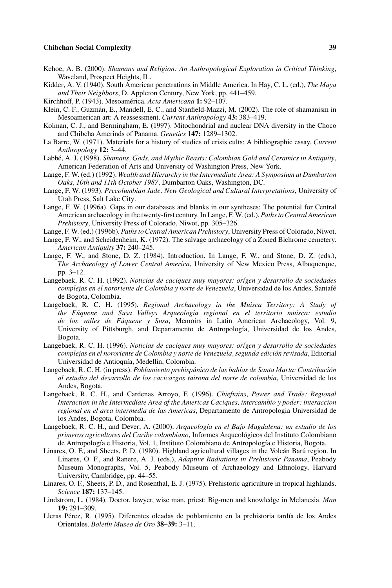- Kehoe, A. B. (2000). *Shamans and Religion: An Anthropological Exploration in Critical Thinking*, Waveland, Prospect Heights, IL.
- Kidder, A. V. (1940). South American penetrations in Middle America. In Hay, C. L. (ed.), *The Maya and Their Neighbors*, D. Appleton Century, New York, pp. 441–459.
- Kirchhoff, P. (1943). Mesoamérica. Acta Americana 1: 92-107.
- Klein, C. F., Guzman, E., Mandell, E. C., and Stanfield-Mazzi, M. (2002). The role of shamanism in ´ Mesoamerican art: A reassessment. *Current Anthropology* **43:** 383–419.
- Kolman, C. J., and Bermingham, E. (1997). Mitochondrial and nuclear DNA diversity in the Choco and Chibcha Amerinds of Panama. *Genetics* **147:** 1289–1302.
- La Barre, W. (1971). Materials for a history of studies of crisis cults: A bibliographic essay. *Current Anthropology* **12:** 3–44.
- Labbé, A. J. (1998). *Shamans, Gods, and Mythic Beasts: Colombian Gold and Ceramics in Antiquity*, American Federation of Arts and University of Washington Press, New York.
- Lange, F. W. (ed.) (1992). *Wealth and Hierarchy in the Intermediate Area: A Symposium at Dumbarton Oaks, 10th and 11th October 1987*, Dumbarton Oaks, Washington, DC.
- Lange, F. W. (1993). *Precolumbian Jade: New Geological and Cultural Interpretations*, University of Utah Press, Salt Lake City.
- Lange, F. W. (1996a). Gaps in our databases and blanks in our syntheses: The potential for Central American archaeology in the twenty-first century. In Lange, F. W. (ed.), *Paths to Central American Prehistory*, University Press of Colorado, Niwot, pp. 305–326.
- Lange, F. W. (ed.) (1996b). *Paths to Central American Prehistory*, University Press of Colorado, Niwot.
- Lange, F. W., and Scheidenheim, K. (1972). The salvage archaeology of a Zoned Bichrome cemetery. *American Antiquity* **37:** 240–245.
- Lange, F. W., and Stone, D. Z. (1984). Introduction. In Lange, F. W., and Stone, D. Z. (eds.), *The Archaeology of Lower Central America*, University of New Mexico Press, Albuquerque, pp. 3–12.
- Langebaek, R. C. H. (1992). *Noticias de caciques muy mayores: or´ıgen y desarrollo de sociedades complejas en el nororiente de Colombia y norte de Venezuela*, Universidad de los Andes, Santafe´ de Bogota, Colombia.
- Langebaek, R. C. H. (1995). *Regional Archaeology in the Muisca Territory: A Study of the Fuquene and Susa Valleys Arqueolog ´ ´ıa regional en el territorio muisca: estudio de los valles de Fuquene y Susa ´* , Memoirs in Latin American Archaeology, Vol. 9, University of Pittsburgh, and Departamento de Antropología, Universidad de los Andes, Bogota.
- Langebaek, R. C. H. (1996). *Noticias de caciques muy mayores: or´ıgen y desarrollo de sociedades complejas en el nororiente de Colombia y norte de Venezuela, segunda edicion revisada ´* , Editorial Universidad de Antioquía, Medellin, Colombia.
- Langebaek, R. C. H. (in press). *Poblamiento prehispanico de las bah ´ ´ıas de Santa Marta: Contribucion´ al estudio del desarrollo de los cacicazgos tairona del norte de colombia*, Universidad de los Andes, Bogota.
- Langebaek, R. C. H., and Cardenas Arroyo, F. (1996). *Chieftains, Power and Trade: Regional Interaction in the Intermediate Area of the Americas Caciques, intercambio y poder: interaccion regional en el area intermedia de las Americas*, Departamento de Antropologia Universidad de los Andes, Bogota, Colombia.
- Langebaek, R. C. H., and Dever, A. (2000). *Arqueología en el Bajo Magdalena: un estudio de los primeros agricultores del Caribe colombiano*, Informes Arqueologicos del Instituto Colombiano ´ de Antropología e Historia, Vol. 1, Instituto Colombiano de Antropología e Historia, Bogota.
- Linares, O. F., and Sheets, P. D. (1980). Highland agricultural villages in the Volcán Barú region. In Linares, O. F., and Ranere, A. J. (eds.), *Adaptive Radiations in Prehistoric Panama*, Peabody Museum Monographs, Vol. 5, Peabody Museum of Archaeology and Ethnology, Harvard University, Cambridge, pp. 44–55.
- Linares, O. F., Sheets, P. D., and Rosenthal, E. J. (1975). Prehistoric agriculture in tropical highlands. *Science* **187:** 137–145.
- Lindstrom, L. (1984). Doctor, lawyer, wise man, priest: Big-men and knowledge in Melanesia. *Man* **19:** 291–309.
- Lleras Pérez, R. (1995). Diferentes oleadas de poblamiento en la prehistoria tardía de los Andes Orientales. *Bolet´ın Museo de Oro* **38–39:** 3–11.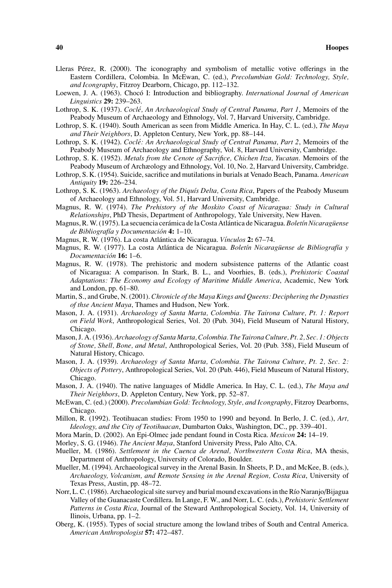- Lleras Pérez, R. (2000). The iconography and symbolism of metallic votive offerings in the Eastern Cordillera, Colombia. In McEwan, C. (ed.), *Precolumbian Gold: Technology, Style, and Icongraphy*, Fitzroy Dearborn, Chicago, pp. 112–132.
- Loewen, J. A. (1963). Chocó I: Introduction and bibliography. *International Journal of American Linguistics* **29:** 239–263.
- Lothrop, S. K. (1937). *Coclé, An Archaeological Study of Central Panama, Part 1*, Memoirs of the Peabody Museum of Archaeology and Ethnology, Vol. 7, Harvard University, Cambridge.
- Lothrop, S. K. (1940). South American as seen from Middle America. In Hay, C. L. (ed.), *The Maya and Their Neighbors*, D. Appleton Century, New York, pp. 88–144.
- Lothrop, S. K. (1942). *Coclé: An Archaeological Study of Central Panama, Part 2*, Memoirs of the Peabody Museum of Archaeology and Ethnography, Vol. 8, Harvard University, Cambridge.
- Lothrop, S. K. (1952). *Metals from the Cenote of Sacrifice, Chichen Itza, Yucatan*. Memoirs of the Peabody Museum of Archæology and Ethnology, Vol. 10, No. 2, Harvard University, Cambridge.
- Lothrop, S. K. (1954). Suicide, sacrifice and mutilations in burials at Venado Beach, Panama. *American Antiquity* **19:** 226–234.
- Lothrop, S. K. (1963). *Archaeology of the Diqu´ıs Delta, Costa Rica*, Papers of the Peabody Museum of Archaeology and Ethnology, Vol. 51, Harvard University, Cambridge.
- Magnus, R. W. (1974). *The Prehistory of the Moskito Coast of Nicaragua: Study in Cultural Relationships*, PhD Thesis, Department of Anthropology, Yale University, New Haven.
- Magnus, R. W. (1975). La secuencia cerámica de la Costa Atlántica de Nicaragua. *Boletín Nicaragüense de Bibliograf´ıa y Documentacion´* **4:** 1–10.
- Magnus, R. W. (1976). La costa Atlántica de Nicaragua. *Vínculos* 2: 67–74.
- Magnus, R. W. (1977). La costa Atlántica de Nicaragua. Boletín Nicaragüense de Bibliografía y *Documentacion´* **16:** 1–6.
- Magnus, R. W. (1978). The prehistoric and modern subsistence patterns of the Atlantic coast of Nicaragua: A comparison. In Stark, B. L., and Voorhies, B. (eds.), *Prehistoric Coastal Adaptations: The Economy and Ecology of Maritime Middle America*, Academic, New York and London, pp. 61–80.
- Martin, S., and Grube, N. (2001). *Chronicle of the Maya Kings and Queens: Deciphering the Dynasties of thse Ancient Maya*, Thames and Hudson, New York.
- Mason, J. A. (1931). *Archaeology of Santa Marta, Colombia. The Tairona Culture, Pt. 1: Report on Field Work*, Anthropological Series, Vol. 20 (Pub. 304), Field Museum of Natural History, Chicago.
- Mason, J. A. (1936). *Archaeology of Santa Marta, Colombia. The Tairona Culture, Pt. 2, Sec. 1: Objects of Stone, Shell, Bone, and Metal*, Anthropological Series, Vol. 20 (Pub. 358), Field Museum of Natural History, Chicago.
- Mason, J. A. (1939). *Archaeology of Santa Marta, Colombia. The Tairona Culture, Pt. 2, Sec. 2: Objects of Pottery*, Anthropological Series, Vol. 20 (Pub. 446), Field Museum of Natural History, Chicago.
- Mason, J. A. (1940). The native languages of Middle America. In Hay, C. L. (ed.), *The Maya and Their Neighbors*, D. Appleton Century, New York, pp. 52–87.
- McEwan, C. (ed.) (2000). *Precolumbian Gold: Technology, Style, and Icongraphy*, Fitzroy Dearborns, Chicago.
- Millon, R. (1992). Teotihuacan studies: From 1950 to 1990 and beyond. In Berlo, J. C. (ed.), *Art, Ideology, and the City of Teotihuacan*, Dumbarton Oaks, Washington, DC., pp. 339–401.
- Mora Mar´ın, D. (2002). An Epi-Olmec jade pendant found in Costa Rica. *Mexicon* **24:** 14–19.
- Morley, S. G. (1946). *The Ancient Maya*, Stanford University Press, Palo Alto, CA.
- Mueller, M. (1986). *Settlement in the Cuenca de Arenal, Northwestern Costa Rica*, MA thesis, Department of Anthropology, University of Colorado, Boulder.
- Mueller, M. (1994). Archaeological survey in the Arenal Basin. In Sheets, P. D., and McKee, B. (eds.), *Archaeology, Volcanism, and Remote Sensing in the Arenal Region, Costa Rica*, University of Texas Press, Austin, pp. 48–72.
- Norr, L. C. (1986). Archaeological site survey and burial mound excavations in the Río Naranjo/Bijagua Valley of the Guanacaste Cordillera. In Lange, F. W., and Norr, L. C. (eds.), *Prehistoric Settlement Patterns in Costa Rica*, Journal of the Steward Anthropological Society, Vol. 14, University of Ilinois, Urbana, pp. 1–2.
- Oberg, K. (1955). Types of social structure among the lowland tribes of South and Central America. *American Anthropologist* **57:** 472–487.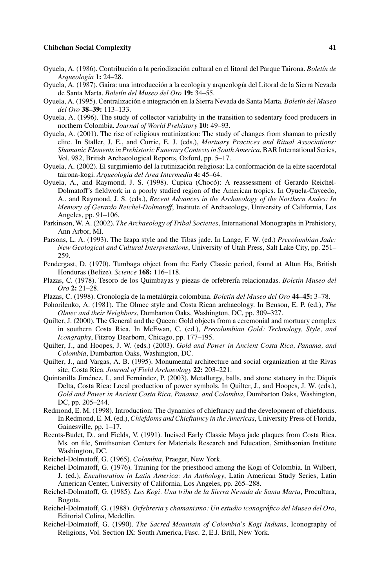- Oyuela, A. (1986). Contribución a la periodización cultural en el litoral del Parque Tairona. *Boletín de Arqueolog´ıa* **1:** 24–28.
- Oyuela, A. (1987). Gaira: una introducción a la ecología y arqueología del Litoral de la Sierra Nevada de Santa Marta. *Bolet´ın del Museo del Oro* **19:** 34–55.
- Oyuela, A. (1995). Centralización e integración en la Sierra Nevada de Santa Marta. *Boletín del Museo del Oro* **38–39:** 113–133.
- Oyuela, A. (1996). The study of collector variability in the transition to sedentary food producers in northern Colombia. *Journal of World Prehistory* **10:** 49–93.
- Oyuela, A. (2001). The rise of religious routinization: The study of changes from shaman to priestly elite. In Staller, J. E., and Currie, E. J. (eds.), *Mortuary Practices and Ritual Associations: Shamanic Elements in Prehistoric Funerary Contexts in South America*, BAR International Series, Vol. 982, British Archaeological Reports, Oxford, pp. 5–17.
- Oyuela, A. (2002). El surgimiento del la rutinización religiosa: La conformación de la elite sacerdotal tairona-kogi. *Arqueolog´ıa del Area Intermedia* **4:** 45–64.
- Oyuela, A., and Raymond, J. S. (1998). Cupica (Choco): A reassessment of Gerardo Reichel- ´ Dolmatoff's fieldwork in a poorly studied region of the American tropics. In Oyuela-Caycedo, A., and Raymond, J. S. (eds.), *Recent Advances in the Archaeology of the Northern Andes: In Memory of Gerardo Reichel-Dolmatoff*, Institute of Archaeology, University of California, Los Angeles, pp. 91–106.
- Parkinson, W. A. (2002). *The Archaeology of Tribal Societies*, International Monographs in Prehistory, Ann Arbor, MI.
- Parsons, L. A. (1993). The Izapa style and the Tibas jade. In Lange, F. W. (ed.) *Precolumbian Jade: New Geological and Cultural Interpretations*, University of Utah Press, Salt Lake City, pp. 251– 259.
- Pendergast, D. (1970). Tumbaga object from the Early Classic period, found at Altun Ha, British Honduras (Belize). *Science* **168:** 116–118.
- Plazas, C. (1978). Tesoro de los Quimbayas y piezas de orfebrería relacionadas. *Boletín Museo del Oro* **2:** 21–28.
- Plazas, C. (1998). Cronología de la metalúrgia colombina. *Boletín del Museo del Oro* 44–45: 3–78.
- Pohorilenko, A. (1981). The Olmec style and Costa Rican archaeology. In Benson, E. P. (ed.), *The Olmec and their Neighbors*, Dumbarton Oaks, Washington, DC, pp. 309–327.
- Quilter, J. (2000). The General and the Queen: Gold objects from a ceremonial and mortuary complex in southern Costa Rica. In McEwan, C. (ed.), *Precolumbian Gold: Technology, Style, and Icongraphy*, Fitzroy Dearborn, Chicago, pp. 177–195.
- Quilter, J., and Hoopes, J. W. (eds.) (2003). *Gold and Power in Ancient Costa Rica, Panama, and Colombia*, Dumbarton Oaks, Washington, DC.
- Quilter, J., and Vargas, A. B. (1995). Monumental architecture and social organization at the Rivas site, Costa Rica. *Journal of Field Archaeology* **22:** 203–221.
- Quintanilla Jiménez, I., and Fernández, P. (2003). Metallurgy, balls, and stone statuary in the Diquis Delta, Costa Rica: Local production of power symbols. In Quilter, J., and Hoopes, J. W. (eds.), *Gold and Power in Ancient Costa Rica, Panama, and Colombia*, Dumbarton Oaks, Washington, DC, pp. 205–244.
- Redmond, E. M. (1998). Introduction: The dynamics of chieftancy and the development of chiefdoms. In Redmond, E. M. (ed.), *Chiefdoms and Chieftaincy in the Americas*, University Press of Florida, Gainesville, pp. 1–17.
- Reents-Budet, D., and Fields, V. (1991). Incised Early Classic Maya jade plaques from Costa Rica. Ms. on file, Smithsonian Centers for Materials Research and Education, Smithsonian Institute Washington, DC.
- Reichel-Dolmatoff, G. (1965). *Colombia*, Praeger, New York.
- Reichel-Dolmatoff, G. (1976). Training for the priesthood among the Kogi of Colombia. In Wilbert, J. (ed.), *Enculturation in Latin America: An Anthology*, Latin American Study Series, Latin American Center, University of California, Los Angeles, pp. 265–288.
- Reichel-Dolmatoff, G. (1985). *Los Kogi. Una tribu de la Sierra Nevada de Santa Marta*, Procultura, Bogota.
- Reichel-Dolmatoff, G. (1988). *Orfebreria y chamanismo: Un estudio iconografico del Museo del Oro ´* , Editorial Colina, Medellin.
- Reichel-Dolmatoff, G. (1990). *The Sacred Mountain of Colombia's Kogi Indians*, Iconography of Religions, Vol. Section IX: South America, Fasc. 2, E.J. Brill, New York.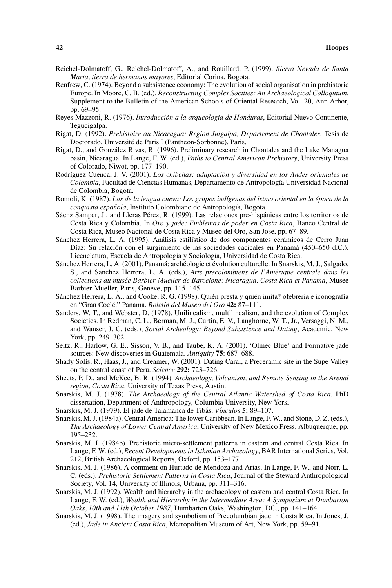- Reichel-Dolmatoff, G., Reichel-Dolmatoff, A., and Rouillard, P. (1999). *Sierra Nevada de Santa Marta, tierra de hermanos mayores*, Editorial Corina, Bogota.
- Renfrew, C. (1974). Beyond a subsistence economy: The evolution of social organisation in prehistoric Europe. In Moore, C. B. (ed.), *Reconstructing Complex Socities: An Archaeological Colloquium*, Supplement to the Bulletin of the American Schools of Oriental Research, Vol. 20, Ann Arbor, pp. 69–95.
- Reyes Mazzoni, R. (1976). *Introducción a la arqueología de Honduras*, Editorial Nuevo Continente, Tegucigalpa.
- Rigat, D. (1992). *Prehistoire au Nicaragua: Region Juigalpa, Departement de Chontales*, Tesis de Doctorado, Universite de Paris I (Pantheon-Sorbonne), Paris. ´
- Rigat, D., and Gonzalez Rivas, R. (1996). Preliminary research in Chontales and the Lake Managua ´ basin, Nicaragua. In Lange, F. W. (ed.), *Paths to Central American Prehistory*, University Press of Colorado, Niwot, pp. 177–190.
- Rodríguez Cuenca, J. V. (2001). *Los chibchas: adaptación y diversidad en los Andes orientales de Colombia*, Facultad de Ciencias Humanas, Departamento de Antropolog´ıa Universidad Nacional de Colombia, Bogota.
- Romoli, K. (1987). *Los de la lengua cueva: Los grupos ind´ıgenas del istmo oriental en la epoca de la ´ conquista española*, Instituto Colombiano de Antropología, Bogota.
- Sáenz Samper, J., and Lleras Pérez, R. (1999). Las relaciones pre-hispánicas entre los territorios de Costa Rica y Colombia. In *Oro y jade: Emblemas de poder en Costa Rica*, Banco Central de Costa Rica, Museo Nacional de Costa Rica y Museo del Oro, San Jose, pp. 67–89.
- Sánchez Herrera, L. A. (1995). Análisis estilístico de dos componentes cerámicos de Cerro Juan Díaz: Su relación con el surgimiento de las sociedades cacicales en Panamá (450–650 d.C.). Licenciatura, Escuela de Antropología y Sociología, Universidad de Costa Rica.
- Sánchez Herrera, L. A. (2001). Panamá: archéologie et évolution culturelle. In Snarskis, M. J., Salgado, S., and Sanchez Herrera, L. A. (eds.), *Arts precolombiens de l'Amerique centrale dans les ´ collections du musee Barbier-Mueller de Barcelone: Nicaragua, Costa Rica et Panama ´* , Musee Barbier-Mueller, Paris, Geneve, pp. 115–145.
- Sánchez Herrera, L. A., and Cooke, R. G. (1998). Quién presta y quién imita? ofebrería e iconografía en "Gran Coclé," Panama. Boletín del Museo del Oro 42: 87-111.
- Sanders, W. T., and Webster, D. (1978). Unilinealism, multilinealism, and the evolution of Complex Societies. In Redman, C. L., Berman, M. J., Curtin, E. V., Langhorne, W. T., Jr., Versaggi, N. M., and Wanser, J. C. (eds.), *Social Archeology: Beyond Subsistence and Dating*, Academic, New York, pp. 249–302.
- Seitz, R., Harlow, G. E., Sisson, V. B., and Taube, K. A. (2001). 'Olmec Blue' and Formative jade sources: New discoveries in Guatemala. *Antiquity* **75**: 687–688.
- Shady Solís, R., Haas, J., and Creamer, W. (2001). Dating Caral, a Preceramic site in the Supe Valley on the central coast of Peru. *Science* **292:** 723–726.
- Sheets, P. D., and McKee, B. R. (1994). *Archaeology, Volcanism, and Remote Sensing in the Arenal region, Costa Rica*, University of Texas Press, Austin.
- Snarskis, M. J. (1978). *The Archaeology of the Central Atlantic Watershed of Costa Rica*, PhD dissertation, Department of Anthropology, Columbia University, New York.
- Snarskis, M. J. (1979). El jade de Talamanca de Tibás. *Vínculos* 5: 89-107.
- Snarskis, M. J. (1984a). Central America: The lower Caribbean. In Lange, F. W., and Stone, D. Z. (eds.), *The Archaeology of Lower Central America*, University of New Mexico Press, Albuquerque, pp. 195–232.
- Snarskis, M. J. (1984b). Prehistoric micro-settlement patterns in eastern and central Costa Rica. In Lange, F. W. (ed.), *Recent Developments in Isthmian Archaeology*, BAR International Series, Vol. 212, British Archaeological Reports, Oxford, pp. 153–177.
- Snarskis, M. J. (1986). A comment on Hurtado de Mendoza and Arias. In Lange, F. W., and Norr, L. C. (eds.), *Prehistoric Settlement Patterns in Costa Rica*, Journal of the Steward Anthropological Society, Vol. 14, University of Illinois, Urbana, pp. 311–316.
- Snarskis, M. J. (1992). Wealth and hierarchy in the archaeology of eastern and central Costa Rica. In Lange, F. W. (ed.), *Wealth and Hierarchy in the Intermediate Area: A Symposium at Dumbarton Oaks, 10th and 11th October 1987*, Dumbarton Oaks, Washington, DC., pp. 141–164.
- Snarskis, M. J. (1998). The imagery and symbolism of Precolumbian jade in Costa Rica. In Jones, J. (ed.), *Jade in Ancient Costa Rica*, Metropolitan Museum of Art, New York, pp. 59–91.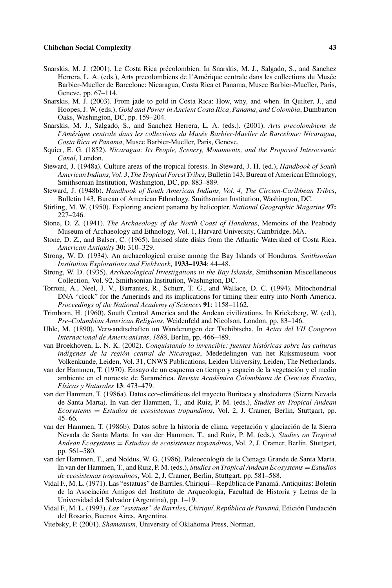- Snarskis, M. J. (2001). Le Costa Rica precolombien. In Snarskis, M. J., Salgado, S., and Sanchez ´ Herrera, L. A. (eds.), Arts precolombiens de l'Amérique centrale dans les collections du Musée Barbier-Mueller de Barcelone: Nicaragua, Costa Rica et Panama, Musee Barbier-Mueller, Paris, Geneve, pp. 67–114.
- Snarskis, M. J. (2003). From jade to gold in Costa Rica: How, why, and when. In Quilter, J., and Hoopes, J. W. (eds.), *Gold and Power in Ancient Costa Rica, Panama, and Colombia*, Dumbarton Oaks, Washington, DC, pp. 159–204.
- Snarskis, M. J., Salgado, S., and Sanchez Herrera, L. A. (eds.). (2001). *Arts precolombiens de l'Amérique centrale dans les collections du Musée Barbier-Mueller de Barcelone: Nicaragua, Costa Rica et Panama*, Musee Barbier-Mueller, Paris, Geneve.
- Squier, E. G. (1852). *Nicaragua: Its People, Scenery, Monuments, and the Proposed Interoceanic Canal*, London.
- Steward, J. (1948a). Culture areas of the tropical forests. In Steward, J. H. (ed.), *Handbook of South American Indians, Vol. 3, The Tropical Forest Tribes*, Bulletin 143, Bureau of American Ethnology, Smithsonian Institution, Washington, DC, pp. 883–889.
- Steward, J. (1948b). *Handbook of South American Indians, Vol. 4, The Circum-Caribbean Tribes*, Bulletin 143, Bureau of American Ethnology, Smithsonian Institution, Washington, DC.
- Stirling, M. W. (1950). Exploring ancient panama by helicopter. *National Geographic Magazine* **97:** 227–246.
- Stone, D. Z. (1941). *The Archaeology of the North Coast of Honduras*, Memoirs of the Peabody Museum of Archaeology and Ethnology, Vol. 1, Harvard University, Cambridge, MA.
- Stone, D. Z., and Balser, C. (1965). Incised slate disks from the Atlantic Watershed of Costa Rica. *American Antiquity* **30:** 310–329.
- Strong, W. D. (1934). An archaeological cruise among the Bay Islands of Honduras. *Smithsonian Institution Explorations and Fieldwork,* **1933–1934**: 44–48.
- Strong, W. D. (1935). *Archaeological Investigations in the Bay Islands*, Smithsonian Miscellaneous Collection, Vol. 92, Smithsonian Institution, Washington, DC.
- Torroni, A., Neel, J. V., Barrantes, R., Schurr, T. G., and Wallace, D. C. (1994). Mitochondrial DNA "clock" for the Amerinds and its implications for timing their entry into North America. *Proceedings of the National Academy of Sciences* **91**: 1158–1162.
- Trimborn, H. (1960). South Central America and the Andean civilizations. In Krickeberg, W. (ed.), *Pre–Columbian American Religions*, Weidenfeld and Nicolson, London, pp. 83–146.
- Uhle, M. (1890). Verwandtschaften un Wanderungen der Tschibtscha. In *Actas del VII Congreso Internacional de Americanistas, 1888*, Berlin, pp. 466–489.
- van Broekhoven, L. N. K. (2002). *Conquistando lo invencible: fuentes historicas sobre las culturas ´ ind´ıgenas de la region central de Nicaragua ´* , Mededelingen van het Rijksmuseum voor Volkenkunde, Leiden, Vol. 31, CNWS Publications, Leiden University, Leiden, The Netherlands.
- van der Hammen, T. (1970). Ensayo de un esquema en tiempo y espacio de la vegetacion y el medio ´ ambiente en el noroeste de Suramerica. ´ *Revista Academica Colombiana de Ciencias Exactas, ´ F´ısicas y Naturales* **13**: 473–479.
- van der Hammen, T. (1986a). Datos eco-climaticos del trayecto Buritaca y alrededores (Sierra Nevada ´ de Santa Marta). In van der Hammen, T., and Ruiz, P. M. (eds.), *Studies on Tropical Andean Ecosystems* = *Estudios de ecosistemas tropandinos*, Vol. 2, J. Cramer, Berlin, Stuttgart, pp. 45–66.
- van der Hammen, T. (1986b). Datos sobre la historia de clima, vegetación y glaciación de la Sierra Nevada de Santa Marta. In van der Hammen, T., and Ruiz, P. M. (eds.), *Studies on Tropical Andean Ecosystems* = *Estudios de ecosistemas tropandinos*, Vol. 2, J. Cramer, Berlin, Stuttgart, pp. 561–580.
- van der Hammen, T., and Noldus, W. G. (1986). Paleoecología de la Cienaga Grande de Santa Marta. In van der Hammen, T., and Ruiz, P. M. (eds.), *Studies on Tropical Andean Ecosystems* = *Estudios de ecosistemas tropandinos*, Vol. 2, J. Cramer, Berlin, Stuttgart, pp. 581–588.
- Vidal F., M. L. (1971). Las "estatuas" de Barriles, Chiriquí—República de Panamá. Antiquitas: Boletín de la Asociación Amigos del Instituto de Arqueología, Facultad de Historia y Letras de la Universidad del Salvador (Argentina), pp. 1–19.
- Vidal F., M. L. (1993). Las "estatuas" de Barriles, Chiriquí, República de Panamá, Edición Fundación del Rosario, Buenos Aires, Argentina.
- Vitebsky, P. (2001). *Shamanism*, University of Oklahoma Press, Norman.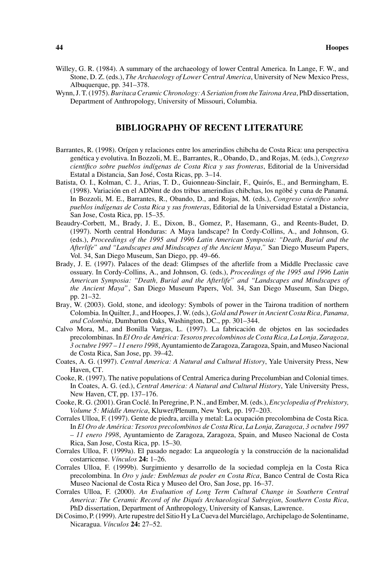- Willey, G. R. (1984). A summary of the archaeology of lower Central America. In Lange, F. W., and Stone, D. Z. (eds.), *The Archaeology of Lower Central America*, University of New Mexico Press, Albuquerque, pp. 341–378.
- Wynn, J. T. (1975). *Buritaca Ceramic Chronology: A Seriation from the Tairona Area*, PhD dissertation, Department of Anthropology, University of Missouri, Columbia.

# **BIBLIOGRAPHY OF RECENT LITERATURE**

- Barrantes, R. (1998). Orígen y relaciones entre los amerindios chibcha de Costa Rica: una perspectiva genética y evolutiva. In Bozzoli, M. E., Barrantes, R., Obando, D., and Rojas, M. (eds.), *Congreso cient´ıfico sobre pueblos ind´ıgenas de Costa Rica y sus fronteras*, Editorial de la Universidad Estatal a Distancia, San Jose, Costa Ricas, pp. 3–14. ´
- Batista, O. I., Kolman, C. J., Arias, T. D., Guionneau-Sinclair, F., Quirós, E., and Bermingham, E. (1998). Variación en el ADNmt de dos tribus amerindias chibchas, los ngöbé y cuna de Panamá. In Bozzoli, M. E., Barrantes, R., Obando, D., and Rojas, M. (eds.), *Congreso cient´ıfico sobre pueblos ind´ıgenas de Costa Rica y sus fronteras*, Editorial de la Universidad Estatal a Distancia, San Jose, Costa Rica, pp. 15–35.
- Beaudry-Corbett, M., Brady, J. E., Dixon, B., Gomez, P., Hasemann, G., and Reents-Budet, D. (1997). North central Honduras: A Maya landscape? In Cordy-Collins, A., and Johnson, G. (eds.), *Proceedings of the 1995 and 1996 Latin American Symposia: "Death, Burial and the Afterlife" and "Landscapes and Mindscapes of the Ancient Maya,"* San Diego Museum Papers, Vol. 34, San Diego Museum, San Diego, pp. 49–66.
- Brady, J. E. (1997). Palaces of the dead: Glimpses of the afterlife from a Middle Preclassic cave ossuary. In Cordy-Collins, A., and Johnson, G. (eds.), *Proceedings of the 1995 and 1996 Latin American Symposia: "Death, Burial and the Afterlife" and "Landscapes and Mindscapes of the Ancient Maya"*, San Diego Museum Papers, Vol. 34, San Diego Museum, San Diego, pp. 21–32.
- Bray, W. (2003). Gold, stone, and ideology: Symbols of power in the Tairona tradition of northern Colombia. In Quilter, J., and Hoopes, J. W. (eds.), *Gold and Power in Ancient Costa Rica, Panama, and Colombia*, Dumbarton Oaks, Washington, DC., pp. 301–344.
- Calvo Mora, M., and Bonilla Vargas, L. (1997). La fabricacion de objetos en las sociedades ´ precolombinas. In *El Oro de America: Tesoros precolombinos de Costa Rica, La Lonja, Zaragoza, ´ 3 octubre 1997 – 11 enero 1998*, Ayuntamiento de Zaragoza, Zaragoza, Spain, and Museo Nacional de Costa Rica, San Jose, pp. 39–42.
- Coates, A. G. (1997). *Central America: A Natural and Cultural History*, Yale University Press, New Haven, CT.
- Cooke, R. (1997). The native populations of Central America during Precolumbian and Colonial times. In Coates, A. G. (ed.), *Central America: A Natural and Cultural History*, Yale University Press, New Haven, CT, pp. 137–176.
- Cooke, R. G. (2001). Gran Cocle. In Peregrine, P. N., and Ember, M. (eds.), ´ *Encyclopedia of Prehistory, Volume 5: Middle America*, Kluwer/Plenum, New York, pp. 197–203.
- Corrales Ulloa, F. (1997). Gente de piedra, arcilla y metal: La ocupacion precolombina de Costa Rica. ´ In *El Oro de America: Tesoros precolombinos de Costa Rica, La Lonja, Zaragoza, 3 octubre 1997 ´ – 11 enero 1998*, Ayuntamiento de Zaragoza, Zaragoza, Spain, and Museo Nacional de Costa Rica, San Jose, Costa Rica, pp. 15–30.
- Corrales Ulloa, F. (1999a). El pasado negado: La arqueología y la construcción de la nacionalidad costarricense. *V´ınculos* **24:** 1–26.
- Corrales Ulloa, F. (1999b). Surgimiento y desarrollo de la sociedad compleja en la Costa Rica precolombina. In *Oro y jade: Emblemas de poder en Costa Rica*, Banco Central de Costa Rica Museo Nacional de Costa Rica y Museo del Oro, San Jose, pp. 16–37.
- Corrales Ulloa, F. (2000). *An Evaluation of Long Term Cultural Change in Southern Central America: The Ceramic Record of the Diqu´ıs Archaeological Subregion*, *Southern Costa Rica*, PhD dissertation, Department of Anthropology, University of Kansas, Lawrence.
- Di Cosimo, P. (1999). Arte rupestre del Sitio H y La Cueva del Murcielago, Archipelago de Solentiname, ´ Nicaragua. *V´ınculos* **24:** 27–52.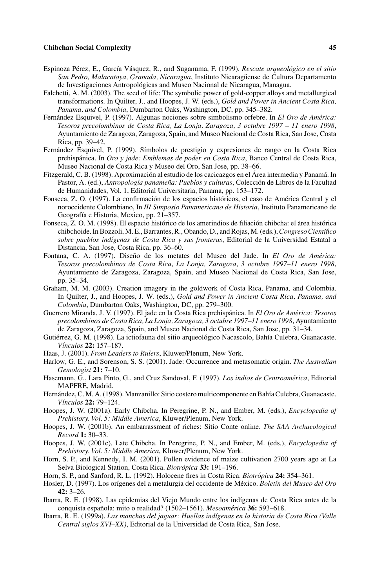- Espinoza Pérez, E., García Vásquez, R., and Suganuma, F. (1999). *Rescate arqueológico en el sitio San Pedro, Malacatoya, Granada, Nicaragua*, Instituto Nicaraguense de Cultura Departamento ¨ de Investigaciones Antropológicas and Museo Nacional de Nicaragua, Managua.
- Falchetti, A. M. (2003). The seed of life: The symbolic power of gold-copper alloys and metallurgical transformations. In Quilter, J., and Hoopes, J. W. (eds.), *Gold and Power in Ancient Costa Rica, Panama, and Colombia*, Dumbarton Oaks, Washington, DC, pp. 345–382.
- Fernandez Esquivel, P. (1997). Algunas nociones sobre simbolismo orfebre. In ´ *El Oro de America: ´ Tesoros precolombinos de Costa Rica, La Lonja, Zaragoza, 3 octubre 1997 – 11 enero 1998*, Ayuntamiento de Zaragoza, Zaragoza, Spain, and Museo Nacional de Costa Rica, San Jose, Costa Rica, pp. 39–42.
- Fernández Esquivel, P. (1999). Símbolos de prestigio y expresiones de rango en la Costa Rica prehispánica. In *Oro y jade: Emblemas de poder en Costa Rica*, Banco Central de Costa Rica, Museo Nacional de Costa Rica y Museo del Oro, San Jose, pp. 38–66.
- Fitzgerald, C. B. (1998). Aproximación al estudio de los cacicazgos en el Área intermedia y Panamá. In Pastor, A. (ed.), *Antropología panameña: Pueblos y culturas*, Colección de Libros de la Facultad de Humanidades, Vol. 1, Editorial Universitaria, Panama, pp. 153–172.
- Fonseca, Z. O. (1997). La confirmación de los espacios históricos, el caso de América Central y el noroccidente Colombiano, In *III Simposio Panamericano de Historia*, Instituto Panamericano de Geografía e Historia, Mexico, pp. 21-357.
- Fonseca, Z. O. M. (1998). El espacio histórico de los amerindios de filiación chibcha: el área histórica chibchoide. In Bozzoli, M. E., Barrantes, R., Obando, D., and Rojas, M. (eds.),*Congreso Cient´ıfico sobre pueblos ind´ıgenas de Costa Rica y sus fronteras*, Editorial de la Universidad Estatal a Distancia, San Jose, Costa Rica, pp. 36–60.
- Fontana, C. A. (1997). Diseño de los metates del Museo del Jade. In El Oro de América: *Tesoros precolombinos de Costa Rica, La Lonja, Zaragoza, 3 octubre 1997–11 enero 1998*, Ayuntamiento de Zaragoza, Zaragoza, Spain, and Museo Nacional de Costa Rica, San Jose, pp. 35–34.
- Graham, M. M. (2003). Creation imagery in the goldwork of Costa Rica, Panama, and Colombia. In Quilter, J., and Hoopes, J. W. (eds.), *Gold and Power in Ancient Costa Rica, Panama, and Colombia*, Dumbarton Oaks, Washington, DC, pp. 279–300.
- Guerrero Miranda, J. V. (1997). El jade en la Costa Rica prehispanica. In ´ *El Oro de America: Tesoros ´ precolombinos de Costa Rica, La Lonja, Zaragoza, 3 octubre 1997–11 enero 1998*, Ayuntamiento de Zaragoza, Zaragoza, Spain, and Museo Nacional de Costa Rica, San Jose, pp. 31–34.
- Gutiérrez, G. M. (1998). La ictiofauna del sitio arqueológico Nacascolo, Bahía Culebra, Guanacaste. *V´ınculos* **22:** 157–187.
- Haas, J. (2001). *From Leaders to Rulers*, Kluwer/Plenum, New York.
- Harlow, G. E., and Sorenson, S. S. (2001). Jade: Occurrence and metasomatic origin. *The Australian Gemologist* **21:** 7–10.
- Hasemann, G., Lara Pinto, G., and Cruz Sandoval, F. (1997). *Los indios de Centroamérica*, Editorial MAPFRE, Madrid.
- Hernández, C. M. A. (1998). Manzanillo: Sitio costero multicomponente en Bahía Culebra, Guanacaste. *V´ınculos* **22:** 79–124.
- Hoopes, J. W. (2001a). Early Chibcha. In Peregrine, P. N., and Ember, M. (eds.), *Encyclopedia of Prehistory. Vol. 5: Middle America*, Kluwer/Plenum, New York.
- Hoopes, J. W. (2001b). An embarrassment of riches: Sitio Conte online. *The SAA Archaeological Record* **1:** 30–33.
- Hoopes, J. W. (2001c). Late Chibcha. In Peregrine, P. N., and Ember, M. (eds.), *Encyclopedia of Prehistory. Vol. 5: Middle America*, Kluwer/Plenum, New York.
- Horn, S. P., and Kennedy, I. M. (2001). Pollen evidence of maize cultivation 2700 years ago at La Selva Biological Station, Costa Rica. *Biotrópica* 33: 191-196.
- Horn, S. P., and Sanford, R. L. (1992). Holocene fires in Costa Rica. *Biotropica ´* **24:** 354–361.
- Hosler, D. (1997). Los orígenes del a metalurgia del occidente de México. *Boletín del Museo del Oro* **42:** 3–26.
- Ibarra, R. E. (1998). Las epidemias del Viejo Mundo entre los indígenas de Costa Rica antes de la conquista espanola: mito o realidad? (1502–1561). ˜ *Mesoamerica ´* **36:** 593–618.
- Ibarra, R. E. (1999a). *Las manchas del jaguar: Huellas ind´ıgenas en la historia de Costa Rica (Valle Central siglos XVI–XX)*, Editorial de la Universidad de Costa Rica, San Jose.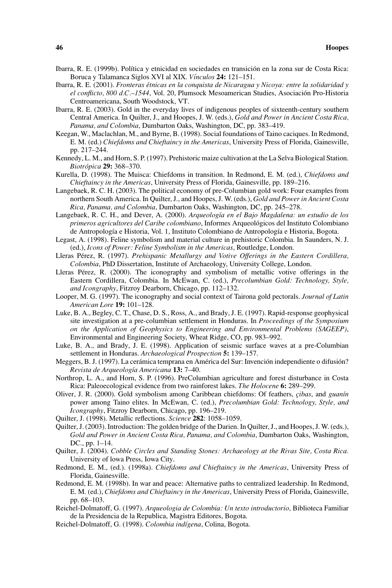- Ibarra, R. E. (1999b). Política y etnicidad en sociedades en transición en la zona sur de Costa Rica: Boruca y Talamanca Siglos XVI al XIX. *V´ınculos* **24:** 121–151.
- Ibarra, R. E. (2001). *Fronteras etnicas en la conquista de Nicaragua y Nicoya: entre la solidaridad y ´ el conflicto, 800 d.C.–1544*, Vol. 20, Plumsock Mesoamerican Studies, Asociacion Pro-Historia ´ Centroamericana, South Woodstock, VT.
- Ibarra, R. E. (2003). Gold in the everyday lives of indigenous peoples of sixteenth-century southern Central America. In Quilter, J., and Hoopes, J. W. (eds.), *Gold and Power in Ancient Costa Rica, Panama, and Colombia*, Dumbarton Oaks, Washington, DC, pp. 383–419.
- Keegan, W., Maclachlan, M., and Byrne, B. (1998). Social foundations of Taino caciques. In Redmond, E. M. (ed.) *Chiefdoms and Chieftaincy in the Americas*, University Press of Florida, Gainesville, pp. 217–244.
- Kennedy, L. M., and Horn, S. P. (1997). Prehistoric maize cultivation at the La Selva Biological Station. *Biotropica ´* **29:** 368–370.
- Kurella, D. (1998). The Muisca: Chiefdoms in transition. In Redmond, E. M. (ed.), *Chiefdoms and Chieftaincy in the Americas*, University Press of Florida, Gainesville, pp. 189–216.
- Langebaek, R. C. H. (2003). The political economy of pre-Columbian gold work: Four examples from northern South America. In Quilter, J., and Hoopes, J. W. (eds.), *Gold and Power in Ancient Costa Rica, Panama, and Colombia*, Dumbarton Oaks, Washington, DC, pp. 245–278.
- Langebaek, R. C. H., and Dever, A. (2000). *Arqueología en el Bajo Magdalena: un estudio de los primeros agricultores del Caribe colombiano*, Informes Arqueologicos del Instituto Colombiano ´ de Antropología e Historia, Vol. 1, Instituto Colombiano de Antropología e Historia, Bogota.
- Legast, A. (1998). Feline symbolism and material culture in prehistoric Colombia. In Saunders, N. J. (ed.), *Icons of Power: Feline Symbolism in the Americas*, Routledge, London.
- Lleras Pérez, R. (1997). *Prehispanic Metallurgy and Votive Offerings in the Eastern Cordillera*, *Colombia*, PhD Dissertation, Institute of Archaeology, University College, London.
- Lleras Pérez, R. (2000). The iconography and symbolism of metallic votive offerings in the Eastern Cordillera, Colombia. In McEwan, C. (ed.), *Precolumbian Gold: Technology, Style, and Icongraphy*, Fitzroy Dearborn, Chicago, pp. 112–132.
- Looper, M. G. (1997). The iconography and social context of Tairona gold pectorals. *Journal of Latin American Lore* **19:** 101–128.
- Luke, B. A., Begley, C. T., Chase, D. S., Ross, A., and Brady, J. E. (1997). Rapid-response geophysical site investigation at a pre-columbian settlement in Honduras. In *Proceedings of the Symposium on the Application of Geophysics to Engineering and Environmental Problems (SAGEEP)*, Environmental and Engineering Society, Wheat Ridge, CO, pp. 983–992.
- Luke, B. A., and Brady, J. E. (1998). Application of seismic surface waves at a pre-Columbian settlement in Honduras. *Archaeological Prospection* **5:** 139–157.
- Meggers, B. J. (1997). La cerámica temprana en América del Sur: Invención independiente o difusión? *Revista de Arqueolog´ıa Americana* **13:** 7–40.
- Northrop, L. A., and Horn, S. P. (1996). PreColumbian agriculture and forest disturbance in Costa Rica: Paleoecological evidence from two rainforest lakes. *The Holocene* **6:** 289–299.
- Oliver, J. R. (2000). Gold symbolism among Caribbean chiefdoms: Of feathers, *cibas*, and *guantn* power among Taino elites. In McEwan, C. (ed.), *Precolumbian Gold: Technology, Style, and Icongraphy*, Fitzroy Dearborn, Chicago, pp. 196–219.
- Quilter, J. (1998). Metallic reflections. *Science* **282**: 1058–1059.
- Quilter, J. (2003). Introduction: The golden bridge of the Darien. In Quilter, J., and Hoopes, J. W. (eds.), *Gold and Power in Ancient Costa Rica, Panama, and Colombia*, Dumbarton Oaks, Washington, DC., pp. 1–14.
- Quilter, J. (2004). *Cobble Circles and Standing Stones: Archaeology at the Rivas Site, Costa Rica.* University of lowa Press, Iowa City.
- Redmond, E. M., (ed.). (1998a). *Chiefdoms and Chieftaincy in the Americas*, University Press of Florida, Gainesville.
- Redmond, E. M. (1998b). In war and peace: Alternative paths to centralized leadership. In Redmond, E. M. (ed.), *Chiefdoms and Chieftaincy in the Americas*, University Press of Florida, Gainesville, pp. 68–103.
- Reichel-Dolmatoff, G. (1997). *Arqueologia de Colombia: Un texto introductorio*, Biblioteca Familiar de la Presidencia de la Republica, Magistra Editores, Bogota.
- Reichel-Dolmatoff, G. (1998). *Colombia indígena*, Colina, Bogota.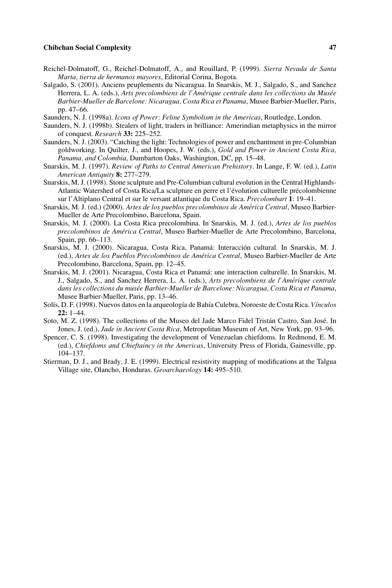- Reichel-Dolmatoff, G., Reichel-Dolmatoff, A., and Rouillard, P. (1999). *Sierra Nevada de Santa Marta, tierra de hermanos mayores*, Editorial Corina, Bogota.
- Salgado, S. (2001). Anciens peuplements du Nicaragua. In Snarskis, M. J., Salgado, S., and Sanchez Herrera, L. A. (eds.), *Arts precolombiens de l'Amérique centrale dans les collections du Musée Barbier-Mueller de Barcelone: Nicaragua, Costa Rica et Panama*, Musee Barbier-Mueller, Paris, pp. 47–66.
- Saunders, N. J. (1998a). *Icons of Power: Feline Symbolism in the Americas*, Routledge, London.
- Saunders, N. J. (1998b). Stealers of light, traders in brilliance: Amerindian metaphysics in the mirror of conquest. *Research* **33:** 225–252.
- Saunders, N. J. (2003). "Catching the light: Technologies of power and enchantment in pre-Columbian goldworking. In Quilter, J., and Hoopes, J. W. (eds.), *Gold and Power in Ancient Costa Rica, Panama, and Colombia*, Dumbarton Oaks, Washington, DC, pp. 15–48.
- Snarskis, M. J. (1997). *Review of Paths to Central American Prehistory*. In Lange, F. W. (ed.), *Latin American Antiquity* **8:** 277–279.
- Snarskis, M. J. (1998). Stone sculpture and Pre-Columbian cultural evolution in the Central Highlands-Atlantic Watershed of Costa Rica/La sculpture en perre et l'évolution culturelle précolombienne sur l'Altiplano Central et sur le versant atlantique du Costa Rica. *Precolombart* **1**: 19–41.
- Snarskis, M. J. (ed.) (2000). *Artes de los pueblos precolombinos de America Central ´* , Museo Barbier-Mueller de Arte Precolombino, Barcelona, Spain.
- Snarskis, M. J. (2000). La Costa Rica precolombina. In Snarskis, M. J. (ed.), *Artes de los pueblos precolombinos de America Central ´* , Museo Barbier-Mueller de Arte Precolombino, Barcelona, Spain, pp. 66–113.
- Snarskis, M. J. (2000). Nicaragua, Costa Rica, Panamá: Interacción cultural. In Snarskis, M. J. (ed.), *Artes de los Pueblos Precolombinos de America Central ´* , Museo Barbier-Mueller de Arte Precolombino, Barcelona, Spain, pp. 12–45.
- Snarskis, M. J. (2001). Nicaragua, Costa Rica et Panama: une interaction culturelle. In Snarskis, M. ´ J., Salgado, S., and Sanchez Herrera, L. A. (eds.), *Arts precolombiens de l'Amerique centrale ´ dans les collections du musee Barbier-Mueller de Barcelone: Nicaragua, Costa Rica et Panama ´* , Musee Barbier-Mueller, Paris, pp. 13–46.
- Solís, D. F. (1998). Nuevos datos en la arqueología de Bahía Culebra, Noroeste de Costa Rica. *Vínculos* **22:** 1–44.
- Soto, M. Z. (1998). The collections of the Museo del Jade Marco Fidel Tristán Castro, San José. In Jones, J. (ed.), *Jade in Ancient Costa Rica*, Metropolitan Museum of Art, New York, pp. 93–96.
- Spencer, C. S. (1998). Investigating the development of Venezuelan chiefdoms. In Redmond, E. M. (ed.), *Chiefdoms and Chieftaincy in the Americas*, University Press of Florida, Gainesville, pp. 104–137.
- Stierman, D. J., and Brady, J. E. (1999). Electrical resistivity mapping of modifications at the Talgua Village site, Olancho, Honduras. *Geoarchaeology* **14:** 495–510.